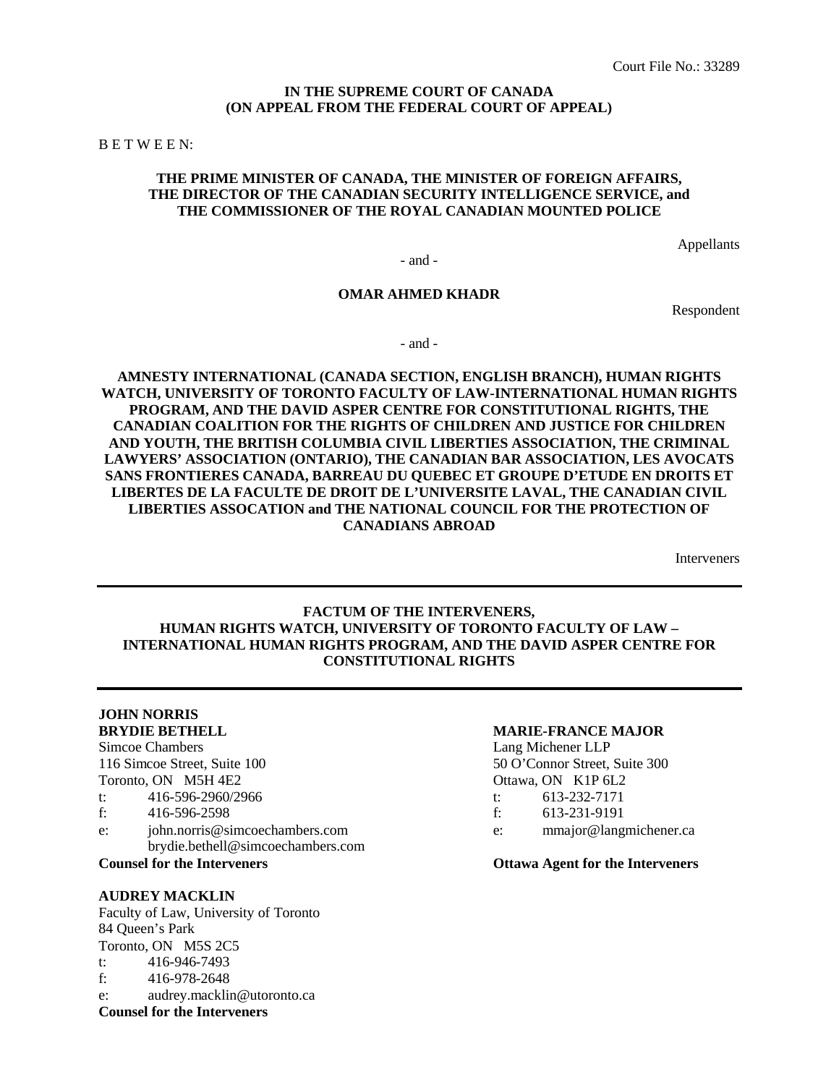#### **IN THE SUPREME COURT OF CANADA (ON APPEAL FROM THE FEDERAL COURT OF APPEAL)**

B E T W E E N:

#### **THE PRIME MINISTER OF CANADA, THE MINISTER OF FOREIGN AFFAIRS, THE DIRECTOR OF THE CANADIAN SECURITY INTELLIGENCE SERVICE, and THE COMMISSIONER OF THE ROYAL CANADIAN MOUNTED POLICE**

Appellants

- and -

### **OMAR AHMED KHADR**

Respondent

- and -

**AMNESTY INTERNATIONAL (CANADA SECTION, ENGLISH BRANCH), HUMAN RIGHTS WATCH, UNIVERSITY OF TORONTO FACULTY OF LAW-INTERNATIONAL HUMAN RIGHTS PROGRAM, AND THE DAVID ASPER CENTRE FOR CONSTITUTIONAL RIGHTS, THE CANADIAN COALITION FOR THE RIGHTS OF CHILDREN AND JUSTICE FOR CHILDREN AND YOUTH, THE BRITISH COLUMBIA CIVIL LIBERTIES ASSOCIATION, THE CRIMINAL LAWYERS' ASSOCIATION (ONTARIO), THE CANADIAN BAR ASSOCIATION, LES AVOCATS SANS FRONTIERES CANADA, BARREAU DU QUEBEC ET GROUPE D'ETUDE EN DROITS ET LIBERTES DE LA FACULTE DE DROIT DE L'UNIVERSITE LAVAL, THE CANADIAN CIVIL LIBERTIES ASSOCATION and THE NATIONAL COUNCIL FOR THE PROTECTION OF CANADIANS ABROAD**

Interveners

#### **FACTUM OF THE INTERVENERS, HUMAN RIGHTS WATCH, UNIVERSITY OF TORONTO FACULTY OF LAW – INTERNATIONAL HUMAN RIGHTS PROGRAM, AND THE DAVID ASPER CENTRE FOR CONSTITUTIONAL RIGHTS**

#### **JOHN NORRIS BRYDIE BETHELL MARIE-FRANCE MAJOR**

Toronto, ON M5H 4E2 Ottawa, ON K1P 6L2

- t: 416-596-2960/2966 t: 613-232-7171<br>f: 416-596-2598 f: 613-231-9191
- f: 416-596-2598 f: 613-231-9191
- e: john.norris@simcoechambers.com e: mmajor@langmichener.ca brydie.bethell@simcoechambers.com
- 

**Counsel for the Interveners**

#### **AUDREY MACKLIN**

Faculty of Law, University of Toronto 84 Queen's Park Toronto, ON M5S 2C5 t: 416-946-7493 f: 416-978-2648 e: audrey.macklin@utoronto.ca

#### Simcoe Chambers Lang Michener LLP

116 Simcoe Street, Suite 100 50 O'Connor Street, Suite 300

- 
- 
- 

**Counsel for the Interveners Ottawa Agent for the Interveners**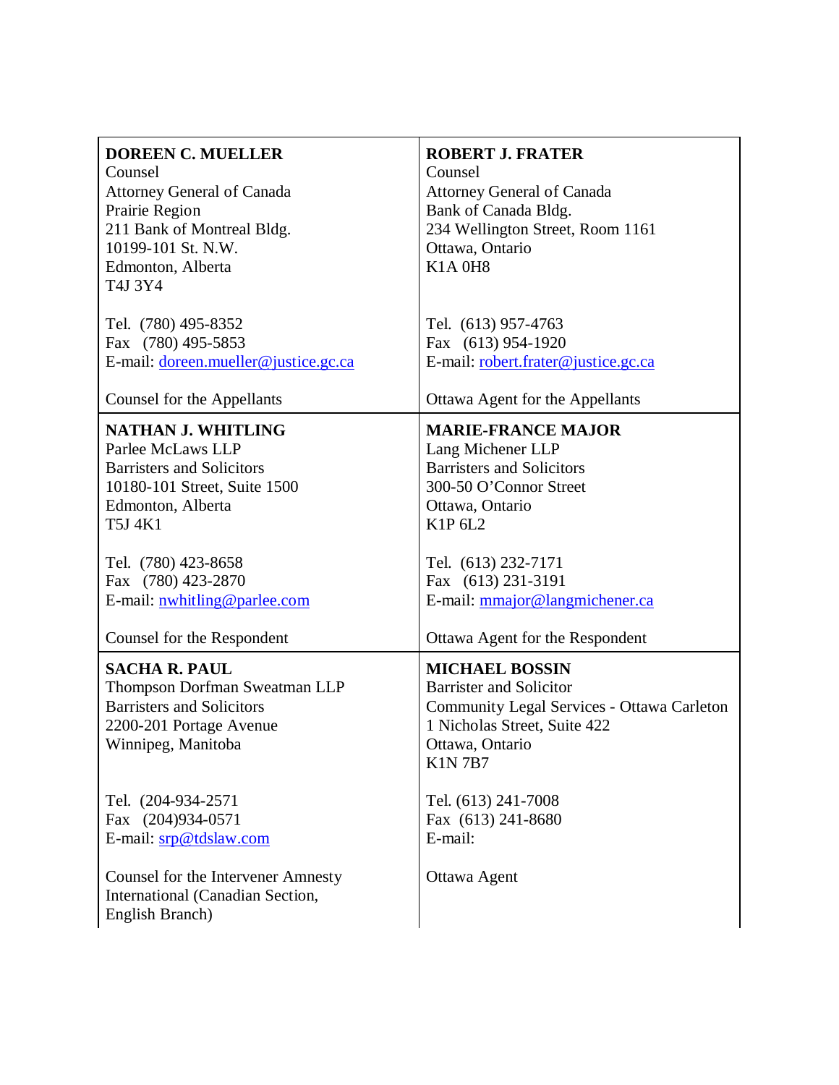| <b>DOREEN C. MUELLER</b><br>Counsel<br><b>Attorney General of Canada</b><br>Prairie Region<br>211 Bank of Montreal Bldg.<br>10199-101 St. N.W.<br>Edmonton, Alberta<br>T4J 3Y4 | <b>ROBERT J. FRATER</b><br>Counsel<br><b>Attorney General of Canada</b><br>Bank of Canada Bldg.<br>234 Wellington Street, Room 1161<br>Ottawa, Ontario<br><b>K1A 0H8</b>  |
|--------------------------------------------------------------------------------------------------------------------------------------------------------------------------------|---------------------------------------------------------------------------------------------------------------------------------------------------------------------------|
| Tel. (780) 495-8352                                                                                                                                                            | Tel. (613) 957-4763                                                                                                                                                       |
| Fax (780) 495-5853                                                                                                                                                             | Fax (613) 954-1920                                                                                                                                                        |
| E-mail: doreen.mueller@justice.gc.ca                                                                                                                                           | E-mail: robert.frater@justice.gc.ca                                                                                                                                       |
| Counsel for the Appellants                                                                                                                                                     | Ottawa Agent for the Appellants                                                                                                                                           |
| <b>NATHAN J. WHITLING</b>                                                                                                                                                      | <b>MARIE-FRANCE MAJOR</b>                                                                                                                                                 |
| Parlee McLaws LLP                                                                                                                                                              | Lang Michener LLP                                                                                                                                                         |
| <b>Barristers and Solicitors</b>                                                                                                                                               | <b>Barristers and Solicitors</b>                                                                                                                                          |
| 10180-101 Street, Suite 1500                                                                                                                                                   | 300-50 O'Connor Street                                                                                                                                                    |
| Edmonton, Alberta                                                                                                                                                              | Ottawa, Ontario                                                                                                                                                           |
| T5J 4K1                                                                                                                                                                        | K1P 6L2                                                                                                                                                                   |
| Tel. (780) 423-8658                                                                                                                                                            | Tel. (613) 232-7171                                                                                                                                                       |
| Fax (780) 423-2870                                                                                                                                                             | Fax (613) 231-3191                                                                                                                                                        |
| E-mail: nwhitling@parlee.com                                                                                                                                                   | E-mail: mmajor@langmichener.ca                                                                                                                                            |
| Counsel for the Respondent                                                                                                                                                     | Ottawa Agent for the Respondent                                                                                                                                           |
| <b>SACHA R. PAUL</b><br>Thompson Dorfman Sweatman LLP<br><b>Barristers and Solicitors</b><br>2200-201 Portage Avenue<br>Winnipeg, Manitoba                                     | <b>MICHAEL BOSSIN</b><br><b>Barrister and Solicitor</b><br>Community Legal Services - Ottawa Carleton<br>1 Nicholas Street, Suite 422<br>Ottawa, Ontario<br><b>K1N7B7</b> |
| Tel. (204-934-2571                                                                                                                                                             | Tel. (613) 241-7008                                                                                                                                                       |
| Fax (204)934-0571                                                                                                                                                              | Fax (613) 241-8680                                                                                                                                                        |
| E-mail: srp@tdslaw.com                                                                                                                                                         | E-mail:                                                                                                                                                                   |
| <b>Counsel for the Intervener Amnesty</b>                                                                                                                                      | Ottawa Agent                                                                                                                                                              |
| International (Canadian Section,<br>English Branch)                                                                                                                            |                                                                                                                                                                           |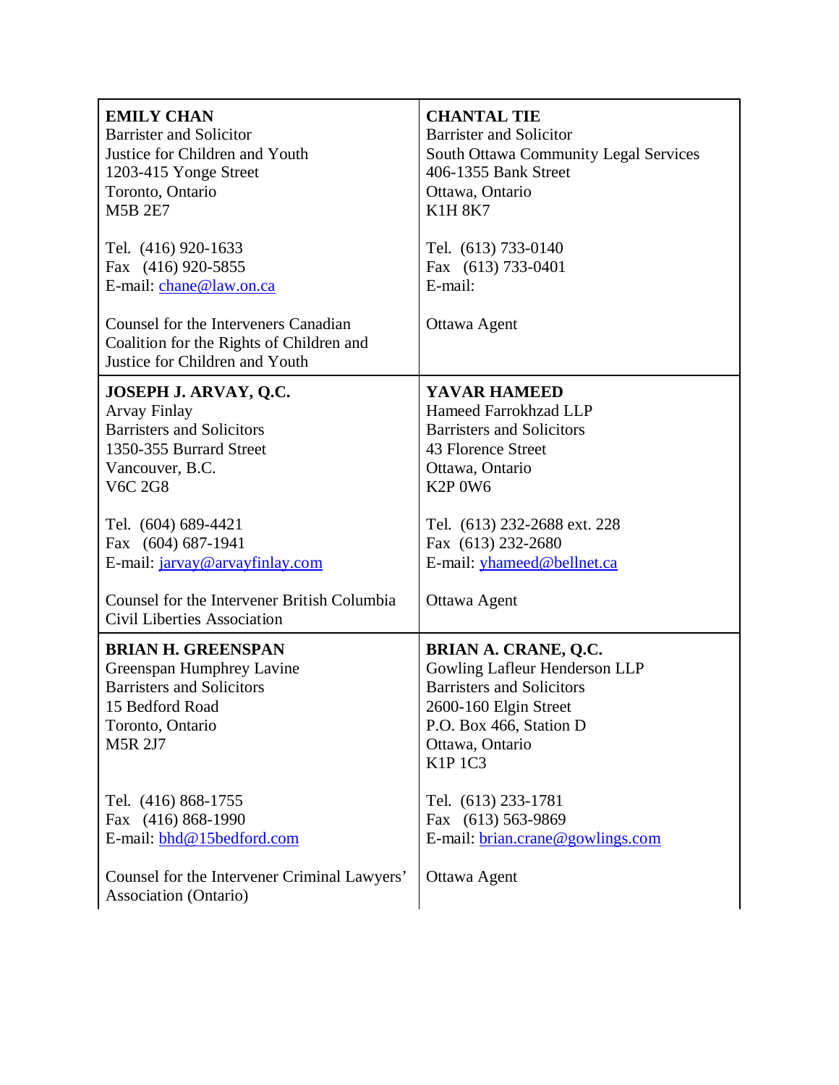| <b>EMILY CHAN</b>                                                                                                                                   | <b>CHANTAL TIE</b>                                                                                                                                                                        |
|-----------------------------------------------------------------------------------------------------------------------------------------------------|-------------------------------------------------------------------------------------------------------------------------------------------------------------------------------------------|
| <b>Barrister and Solicitor</b>                                                                                                                      | <b>Barrister and Solicitor</b>                                                                                                                                                            |
| Justice for Children and Youth                                                                                                                      | <b>South Ottawa Community Legal Services</b>                                                                                                                                              |
| 1203-415 Yonge Street                                                                                                                               | 406-1355 Bank Street                                                                                                                                                                      |
| Toronto, Ontario                                                                                                                                    | Ottawa, Ontario                                                                                                                                                                           |
| <b>M5B 2E7</b>                                                                                                                                      | <b>K1H 8K7</b>                                                                                                                                                                            |
| Tel. (416) 920-1633                                                                                                                                 | Tel. (613) 733-0140                                                                                                                                                                       |
| Fax (416) 920-5855                                                                                                                                  | Fax (613) 733-0401                                                                                                                                                                        |
| E-mail: chane@law.on.ca                                                                                                                             | E-mail:                                                                                                                                                                                   |
| Counsel for the Interveners Canadian<br>Coalition for the Rights of Children and<br>Justice for Children and Youth                                  | Ottawa Agent                                                                                                                                                                              |
| JOSEPH J. ARVAY, Q.C.                                                                                                                               | YAVAR HAMEED                                                                                                                                                                              |
| <b>Arvay Finlay</b>                                                                                                                                 | Hameed Farrokhzad LLP                                                                                                                                                                     |
| <b>Barristers and Solicitors</b>                                                                                                                    | <b>Barristers and Solicitors</b>                                                                                                                                                          |
| 1350-355 Burrard Street                                                                                                                             | 43 Florence Street                                                                                                                                                                        |
| Vancouver, B.C.                                                                                                                                     | Ottawa, Ontario                                                                                                                                                                           |
| <b>V6C 2G8</b>                                                                                                                                      | K <sub>2</sub> P <sub>0</sub> W <sub>6</sub>                                                                                                                                              |
| Tel. (604) 689-4421                                                                                                                                 | Tel. (613) 232-2688 ext. 228                                                                                                                                                              |
| Fax (604) 687-1941                                                                                                                                  | Fax (613) 232-2680                                                                                                                                                                        |
| E-mail: jarvay@arvayfinlay.com                                                                                                                      | E-mail: <i>yhameed@bellnet.ca</i>                                                                                                                                                         |
| Counsel for the Intervener British Columbia<br><b>Civil Liberties Association</b>                                                                   | Ottawa Agent                                                                                                                                                                              |
| <b>BRIAN H. GREENSPAN</b><br>Greenspan Humphrey Lavine<br><b>Barristers and Solicitors</b><br>15 Bedford Road<br>Toronto, Ontario<br><b>M5R 2J7</b> | <b>BRIAN A. CRANE, Q.C.</b><br>Gowling Lafleur Henderson LLP<br><b>Barristers and Solicitors</b><br>2600-160 Elgin Street<br>P.O. Box 466, Station D<br>Ottawa, Ontario<br><b>K1P 1C3</b> |
| Tel. (416) 868-1755                                                                                                                                 | Tel. (613) 233-1781                                                                                                                                                                       |
| Fax (416) 868-1990                                                                                                                                  | Fax (613) 563-9869                                                                                                                                                                        |
| E-mail: bhd@15bedford.com                                                                                                                           | E-mail: brian.crane@gowlings.com                                                                                                                                                          |
| Counsel for the Intervener Criminal Lawyers'<br>Association (Ontario)                                                                               | Ottawa Agent                                                                                                                                                                              |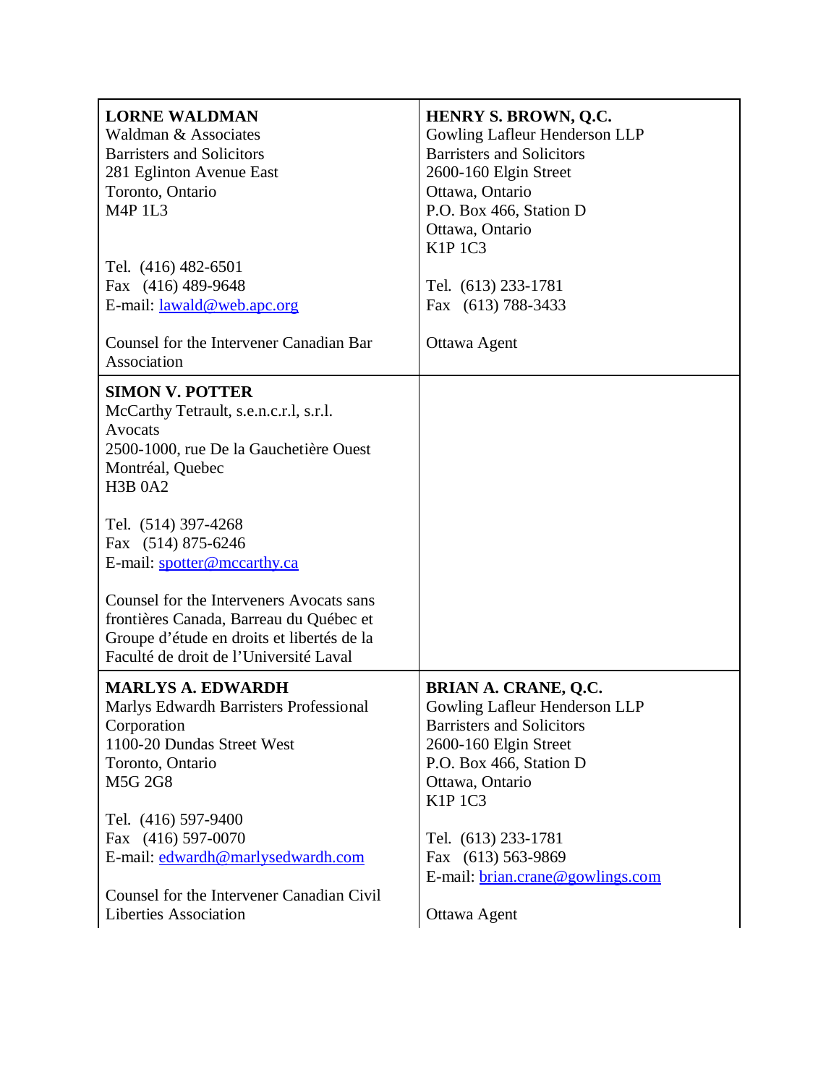| <b>LORNE WALDMAN</b><br>Waldman & Associates<br><b>Barristers and Solicitors</b><br>281 Eglinton Avenue East<br>Toronto, Ontario<br><b>M4P 1L3</b>                                                                                                                                                                                                                                                                     | <b>HENRY S. BROWN, Q.C.</b><br>Gowling Lafleur Henderson LLP<br><b>Barristers and Solicitors</b><br>2600-160 Elgin Street<br>Ottawa, Ontario<br>P.O. Box 466, Station D<br>Ottawa, Ontario<br><b>K1P 1C3</b> |
|------------------------------------------------------------------------------------------------------------------------------------------------------------------------------------------------------------------------------------------------------------------------------------------------------------------------------------------------------------------------------------------------------------------------|--------------------------------------------------------------------------------------------------------------------------------------------------------------------------------------------------------------|
| Tel. (416) 482-6501<br>Fax (416) 489-9648<br>E-mail: <u>lawald@web.apc.org</u>                                                                                                                                                                                                                                                                                                                                         | Tel. (613) 233-1781<br>Fax (613) 788-3433                                                                                                                                                                    |
| Counsel for the Intervener Canadian Bar<br>Association                                                                                                                                                                                                                                                                                                                                                                 | Ottawa Agent                                                                                                                                                                                                 |
| <b>SIMON V. POTTER</b><br>McCarthy Tetrault, s.e.n.c.r.l, s.r.l.<br>Avocats<br>2500-1000, rue De la Gauchetière Ouest<br>Montréal, Quebec<br><b>H3B 0A2</b><br>Tel. (514) 397-4268<br>Fax (514) 875-6246<br>E-mail: spotter@mccarthy.ca<br>Counsel for the Interveners Avocats sans<br>frontières Canada, Barreau du Québec et<br>Groupe d'étude en droits et libertés de la<br>Faculté de droit de l'Université Laval |                                                                                                                                                                                                              |
| <b>MARLYS A. EDWARDH</b><br>Marlys Edwardh Barristers Professional<br>Corporation<br>1100-20 Dundas Street West<br>Toronto, Ontario<br><b>M5G 2G8</b>                                                                                                                                                                                                                                                                  | <b>BRIAN A. CRANE, Q.C.</b><br>Gowling Lafleur Henderson LLP<br><b>Barristers and Solicitors</b><br>2600-160 Elgin Street<br>P.O. Box 466, Station D<br>Ottawa, Ontario<br><b>K1P 1C3</b>                    |
| Tel. (416) 597-9400<br>Fax (416) 597-0070<br>E-mail: edwardh@marlysedwardh.com                                                                                                                                                                                                                                                                                                                                         | Tel. (613) 233-1781<br>Fax (613) 563-9869<br>E-mail: brian.crane@gowlings.com                                                                                                                                |
| Counsel for the Intervener Canadian Civil<br><b>Liberties Association</b>                                                                                                                                                                                                                                                                                                                                              | Ottawa Agent                                                                                                                                                                                                 |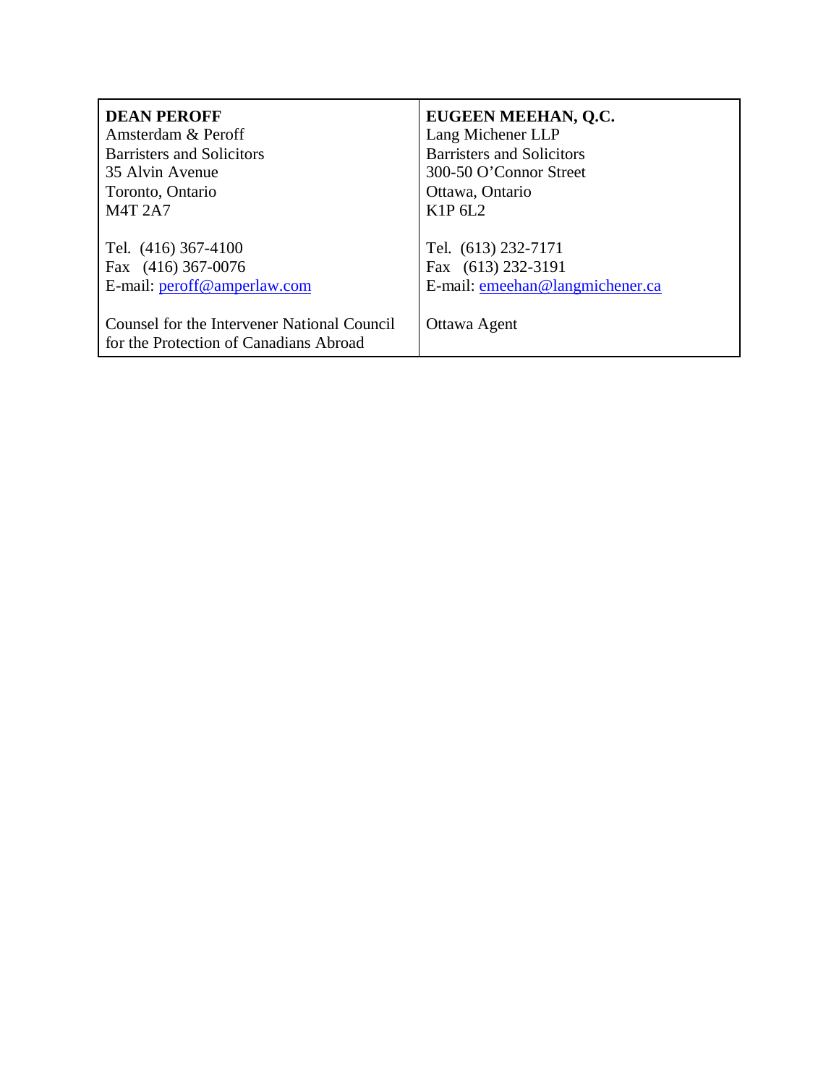| <b>DEAN PEROFF</b>                          | EUGEEN MEEHAN, Q.C.              |
|---------------------------------------------|----------------------------------|
| Amsterdam & Peroff                          | Lang Michener LLP                |
| <b>Barristers and Solicitors</b>            | <b>Barristers and Solicitors</b> |
| 35 Alvin Avenue                             | 300-50 O'Connor Street           |
| Toronto, Ontario                            | Ottawa, Ontario                  |
| <b>M4T 2A7</b>                              | K1P 6L2                          |
|                                             |                                  |
| Tel. (416) 367-4100                         | Tel. (613) 232-7171              |
| Fax (416) 367-0076                          | Fax (613) 232-3191               |
| E-mail: peroff@amperlaw.com                 | E-mail: emechan@langmichener.ca  |
|                                             |                                  |
| Counsel for the Intervener National Council | Ottawa Agent                     |
| for the Protection of Canadians Abroad      |                                  |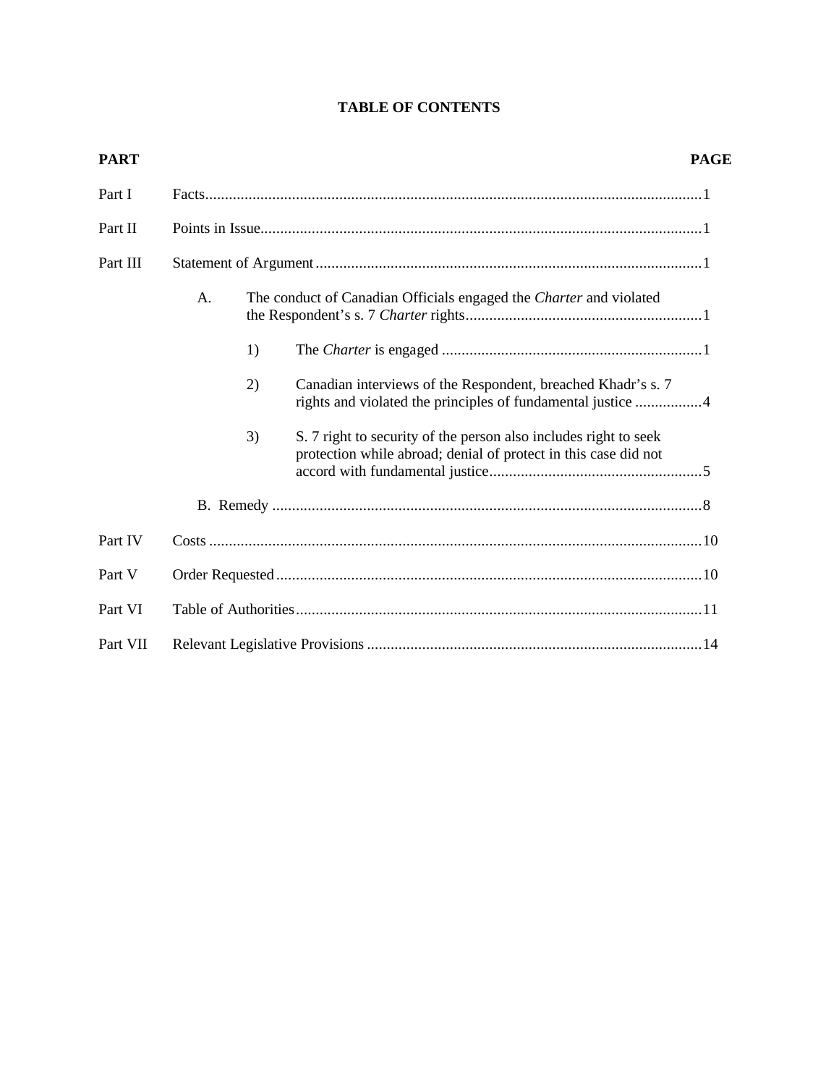## **TABLE OF CONTENTS**

| <b>PART</b> |    |    |                                                                                                                                     | <b>PAGE</b> |
|-------------|----|----|-------------------------------------------------------------------------------------------------------------------------------------|-------------|
| Part I      |    |    |                                                                                                                                     |             |
| Part II     |    |    |                                                                                                                                     |             |
| Part III    |    |    |                                                                                                                                     |             |
|             | A. |    | The conduct of Canadian Officials engaged the Charter and violated                                                                  |             |
|             |    | 1) |                                                                                                                                     |             |
|             |    | 2) | Canadian interviews of the Respondent, breached Khadr's s. 7<br>rights and violated the principles of fundamental justice 4         |             |
|             |    | 3) | S. 7 right to security of the person also includes right to seek<br>protection while abroad; denial of protect in this case did not |             |
|             |    |    |                                                                                                                                     |             |
| Part IV     |    |    |                                                                                                                                     |             |
| Part V      |    |    |                                                                                                                                     |             |
| Part VI     |    |    |                                                                                                                                     |             |
| Part VII    |    |    |                                                                                                                                     |             |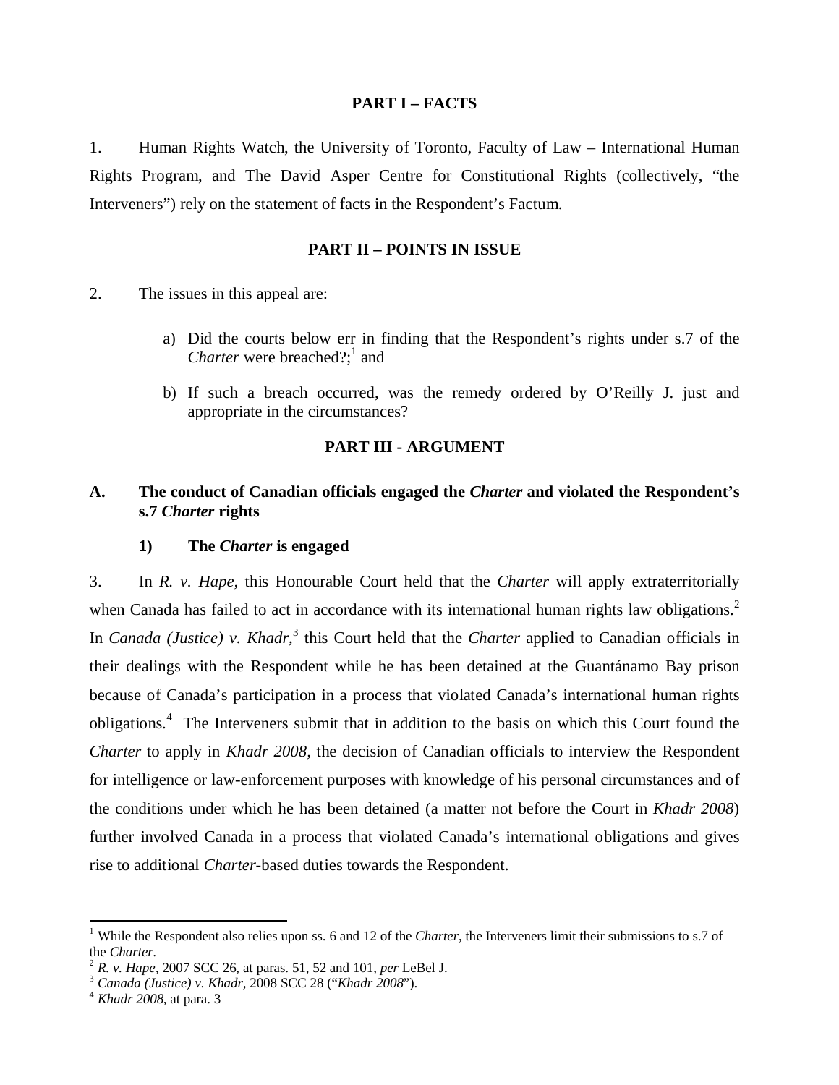#### **PART I – FACTS**

1. Human Rights Watch, the University of Toronto, Faculty of Law – International Human Rights Program, and The David Asper Centre for Constitutional Rights (collectively, "the Interveners") rely on the statement of facts in the Respondent's Factum.

### **PART II – POINTS IN ISSUE**

- 2. The issues in this appeal are:
	- a) Did the courts below err in finding that the Respondent's rights under s.7 of the Charter were breached?;<sup>1</sup> and
	- b) If such a breach occurred, was the remedy ordered by O'Reilly J. just and appropriate in the circumstances?

## **PART III - ARGUMENT**

## **A. The conduct of Canadian officials engaged the** *Charter* **and violated the Respondent's s.7** *Charter* **rights**

#### **1) The** *Charter* **is engaged**

3. In *R. v. Hape,* this Honourable Court held that the *Charter* will apply extraterritorially when Canada has failed to act in accordance with its international human rights law obligations.<sup>2</sup> In *Canada (Justice)* v. *Khadr*,<sup>3</sup> this Court held that the *Charter* applied to Canadian officials in their dealings with the Respondent while he has been detained at the Guantánamo Bay prison because of Canada's participation in a process that violated Canada's international human rights obligations. 4 The Interveners submit that in addition to the basis on which this Court found the *Charter* to apply in *Khadr 2008,* the decision of Canadian officials to interview the Respondent for intelligence or law-enforcement purposes with knowledge of his personal circumstances and of the conditions under which he has been detained (a matter not before the Court in *Khadr 2008*) further involved Canada in a process that violated Canada's international obligations and gives rise to additional *Charter*-based duties towards the Respondent.

<sup>&</sup>lt;sup>1</sup> While the Respondent also relies upon ss. 6 and 12 of the *Charter*, the Interveners limit their submissions to s.7 of the *Charter.*

<sup>2</sup> *R. v. Hape*, 2007 SCC 26, at paras. 51, 52 and 101, *per* LeBel J.

<sup>3</sup> *Canada (Justice) v. Khadr,* 2008 SCC 28 ("*Khadr 2008*").

<sup>4</sup> *Khadr 2008,* at para. 3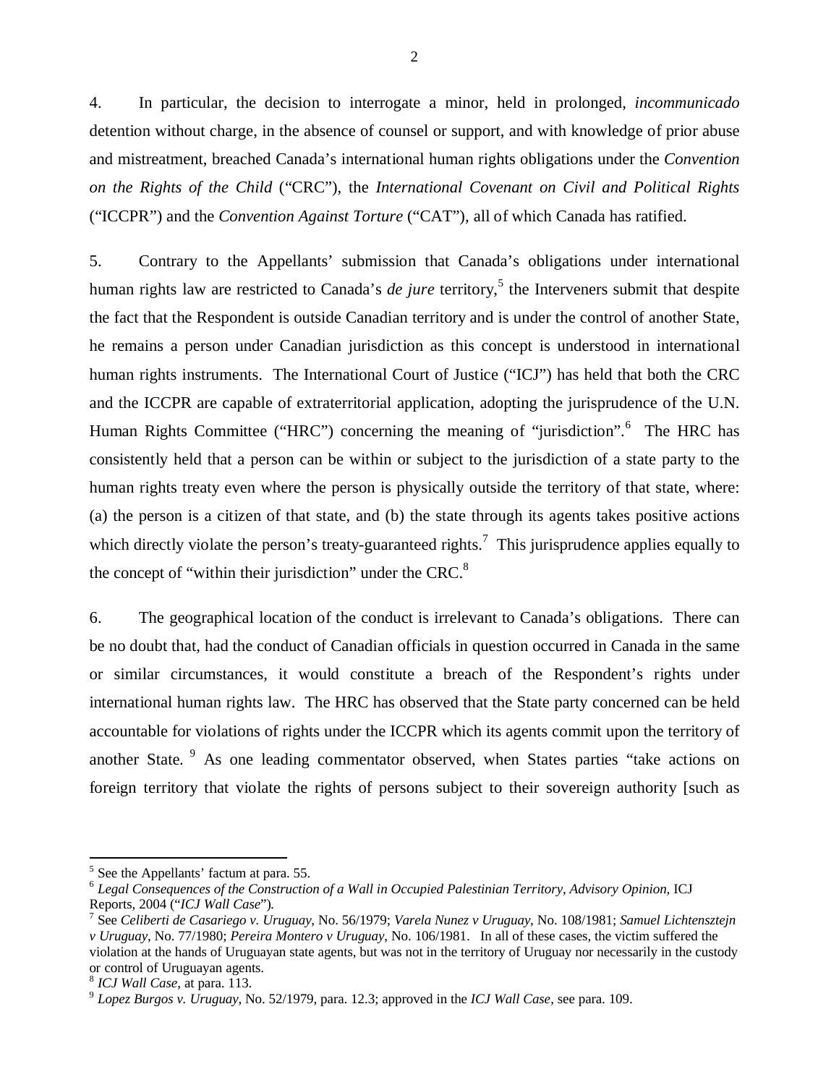4. In particular, the decision to interrogate a minor, held in prolonged, *incommunicado* detention without charge, in the absence of counsel or support, and with knowledge of prior abuse and mistreatment, breached Canada's international human rights obligations under the *Convention on the Rights of the Child* ("CRC"), the *International Covenant on Civil and Political Rights* ("ICCPR") and the *Convention Against Torture* ("CAT"), all of which Canada has ratified.

5. Contrary to the Appellants' submission that Canada's obligations under international human rights law are restricted to Canada's *de jure* territory, 5 the Interveners submit that despite the fact that the Respondent is outside Canadian territory and is under the control of another State, he remains a person under Canadian jurisdiction as this concept is understood in international human rights instruments. The International Court of Justice ("ICJ") has held that both the CRC and the ICCPR are capable of extraterritorial application, adopting the jurisprudence of the U.N. Human Rights Committee ("HRC") concerning the meaning of "jurisdiction".<sup>6</sup> The HRC has consistently held that a person can be within or subject to the jurisdiction of a state party to the human rights treaty even where the person is physically outside the territory of that state, where: (a) the person is a citizen of that state, and (b) the state through its agents takes positive actions which directly violate the person's treaty-guaranteed rights.<sup>7</sup> This jurisprudence applies equally to the concept of "within their jurisdiction" under the CRC. $8^{\circ}$ 

6. The geographical location of the conduct is irrelevant to Canada's obligations. There can be no doubt that, had the conduct of Canadian officials in question occurred in Canada in the same or similar circumstances, it would constitute a breach of the Respondent's rights under international human rights law. The HRC has observed that the State party concerned can be held accountable for violations of rights under the ICCPR which its agents commit upon the territory of another State. <sup>9</sup> As one leading commentator observed, when States parties "take actions on foreign territory that violate the rights of persons subject to their sovereign authority [such as

<sup>&</sup>lt;sup>5</sup> See the Appellants' factum at para. 55.

<sup>&</sup>lt;sup>6</sup> Legal Consequences of the Construction of a Wall in Occupied Palestinian Territory, Advisory Opinion, ICJ Reports, 2004 ("*ICJ Wall Case*")*.*

<sup>7</sup> See *Celiberti de Casariego v. Uruguay*, No. 56/1979; *Varela Nunez v Uruguay*, No. 108/1981; *Samuel Lichtensztejn v Uruguay*, No. 77/1980; *Pereira Montero v Uruguay*, No. 106/1981. In all of these cases, the victim suffered the violation at the hands of Uruguayan state agents, but was not in the territory of Uruguay nor necessarily in the custody or control of Uruguayan agents.

<sup>8</sup> *ICJ Wall Case*, at para. 113.

<sup>9</sup> *Lopez Burgos v. Uruguay*, No. 52/1979, para. 12.3; approved in the *ICJ Wall Case*, see para. 109.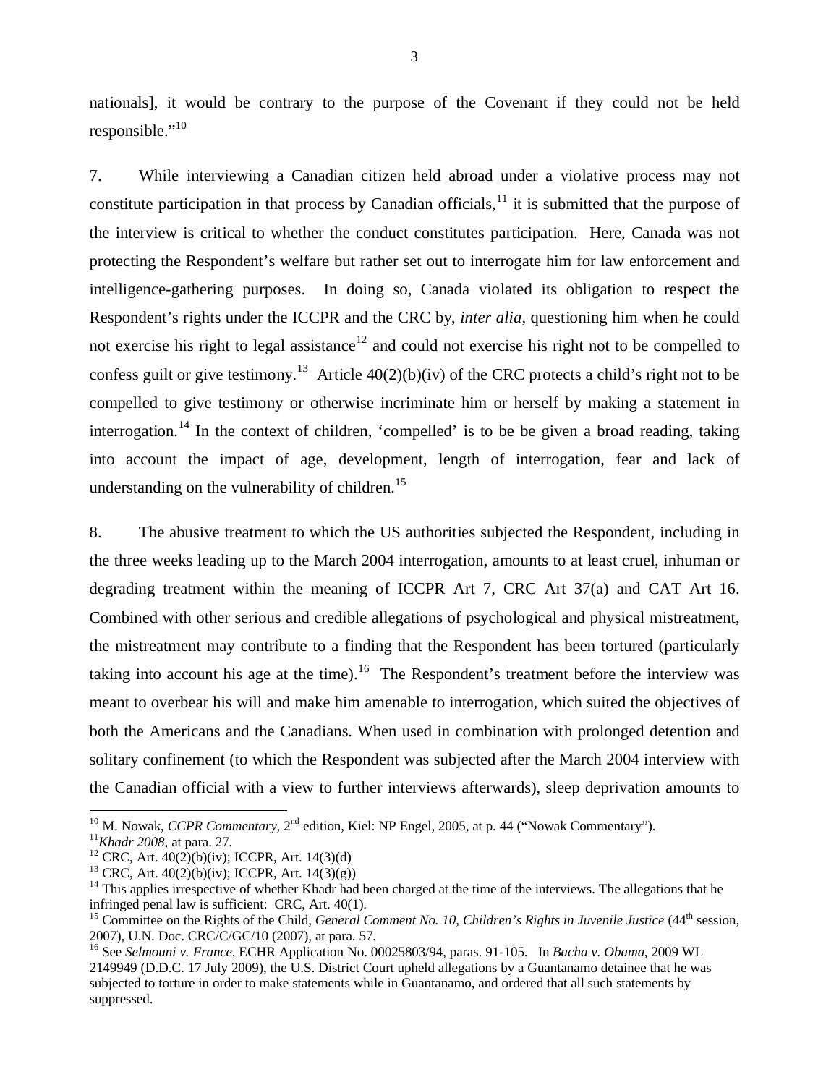nationals], it would be contrary to the purpose of the Covenant if they could not be held responsible."<sup>10</sup>

7. While interviewing a Canadian citizen held abroad under a violative process may not constitute participation in that process by Canadian officials, $11$  it is submitted that the purpose of the interview is critical to whether the conduct constitutes participation. Here, Canada was not protecting the Respondent's welfare but rather set out to interrogate him for law enforcement and intelligence-gathering purposes. In doing so, Canada violated its obligation to respect the Respondent's rights under the ICCPR and the CRC by, *inter alia,* questioning him when he could not exercise his right to legal assistance<sup>12</sup> and could not exercise his right not to be compelled to confess guilt or give testimony.<sup>13</sup> Article  $40(2)(b)(iv)$  of the CRC protects a child's right not to be compelled to give testimony or otherwise incriminate him or herself by making a statement in interrogation.<sup>14</sup> In the context of children, 'compelled' is to be be given a broad reading, taking into account the impact of age, development, length of interrogation, fear and lack of understanding on the vulnerability of children.<sup>15</sup>

8. The abusive treatment to which the US authorities subjected the Respondent, including in the three weeks leading up to the March 2004 interrogation, amounts to at least cruel, inhuman or degrading treatment within the meaning of ICCPR Art 7, CRC Art 37(a) and CAT Art 16. Combined with other serious and credible allegations of psychological and physical mistreatment, the mistreatment may contribute to a finding that the Respondent has been tortured (particularly taking into account his age at the time).<sup>16</sup> The Respondent's treatment before the interview was meant to overbear his will and make him amenable to interrogation, which suited the objectives of both the Americans and the Canadians. When used in combination with prolonged detention and solitary confinement (to which the Respondent was subjected after the March 2004 interview with the Canadian official with a view to further interviews afterwards), sleep deprivation amounts to

<sup>&</sup>lt;sup>10</sup> M. Nowak, *CCPR Commentary*, 2<sup>nd</sup> edition, Kiel: NP Engel, 2005, at p. 44 ("Nowak Commentary").

<sup>11</sup>*Khadr 2008,* at para. 27.

<sup>&</sup>lt;sup>12</sup> CRC, Art.  $40(2)(b)(iv)$ ; ICCPR, Art. 14(3)(d)

<sup>&</sup>lt;sup>13</sup> CRC, Art.  $40(2)(b)(iv)$ ; ICCPR, Art.  $14(3)(g)$ )

 $14$  This applies irrespective of whether Khadr had been charged at the time of the interviews. The allegations that he infringed penal law is sufficient: CRC, Art. 40(1).

<sup>&</sup>lt;sup>15</sup> Committee on the Rights of the Child, *General Comment No. 10, Children's Rights in Juvenile Justice* (44<sup>th</sup> session, 2007), U.N. Doc. CRC/C/GC/10 (2007), at para. 57.

<sup>16</sup> See *Selmouni v. France*, ECHR Application No. 00025803/94, paras. 91-105. In *Bacha v. Obama*, 2009 WL 2149949 (D.D.C. 17 July 2009), the U.S. District Court upheld allegations by a Guantanamo detainee that he was subjected to torture in order to make statements while in Guantanamo, and ordered that all such statements by suppressed.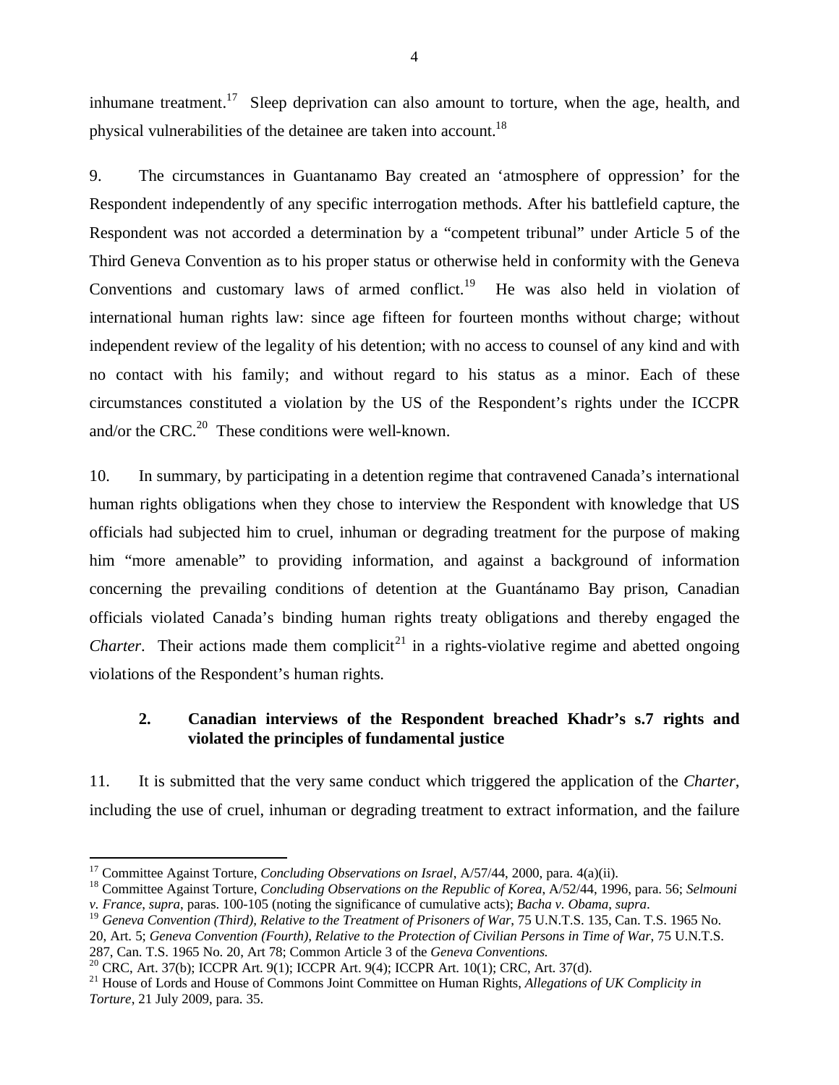inhumane treatment.<sup>17</sup> Sleep deprivation can also amount to torture, when the age, health, and physical vulnerabilities of the detainee are taken into account.<sup>18</sup>

9. The circumstances in Guantanamo Bay created an 'atmosphere of oppression' for the Respondent independently of any specific interrogation methods. After his battlefield capture, the Respondent was not accorded a determination by a "competent tribunal" under Article 5 of the Third Geneva Convention as to his proper status or otherwise held in conformity with the Geneva Conventions and customary laws of armed conflict.<sup>19</sup> He was also held in violation of international human rights law: since age fifteen for fourteen months without charge; without independent review of the legality of his detention; with no access to counsel of any kind and with no contact with his family; and without regard to his status as a minor. Each of these circumstances constituted a violation by the US of the Respondent's rights under the ICCPR and/or the CRC. $^{20}$  These conditions were well-known.

10. In summary, by participating in a detention regime that contravened Canada's international human rights obligations when they chose to interview the Respondent with knowledge that US officials had subjected him to cruel, inhuman or degrading treatment for the purpose of making him "more amenable" to providing information, and against a background of information concerning the prevailing conditions of detention at the Guantánamo Bay prison*,* Canadian officials violated Canada's binding human rights treaty obligations and thereby engaged the *Charter*. Their actions made them complicit<sup>21</sup> in a rights-violative regime and abetted ongoing violations of the Respondent's human rights.

## **2. Canadian interviews of the Respondent breached Khadr's s.7 rights and violated the principles of fundamental justice**

11. It is submitted that the very same conduct which triggered the application of the *Charter*, including the use of cruel, inhuman or degrading treatment to extract information, and the failure

<sup>17</sup> Committee Against Torture, *Concluding Observations on Israel*, A/57/44, 2000, para. 4(a)(ii).

<sup>18</sup> Committee Against Torture, *Concluding Observations on the Republic of Korea*, A/52/44, 1996, para. 56; *Selmouni v. France*, *supra*, paras. 100-105 (noting the significance of cumulative acts); *Bacha v. Obama*, *supra*.

<sup>&</sup>lt;sup>19</sup> Geneva Convention (Third), Relative to the Treatment of Prisoners of War, 75 U.N.T.S. 135, Can. T.S. 1965 No. 20, Art. 5; *Geneva Convention (Fourth), Relative to the Protection of Civilian Persons in Time of War*, 75 U.N.T.S. 287, Can. T.S. 1965 No. 20, Art 78; Common Article 3 of the *Geneva Conventions*.

<sup>20</sup> CRC, Art. 37(b); ICCPR Art. 9(1); ICCPR Art. 9(4); ICCPR Art. 10(1); CRC, Art. 37(d).

<sup>21</sup> House of Lords and House of Commons Joint Committee on Human Rights, *Allegations of UK Complicity in Torture*, 21 July 2009, para. 35.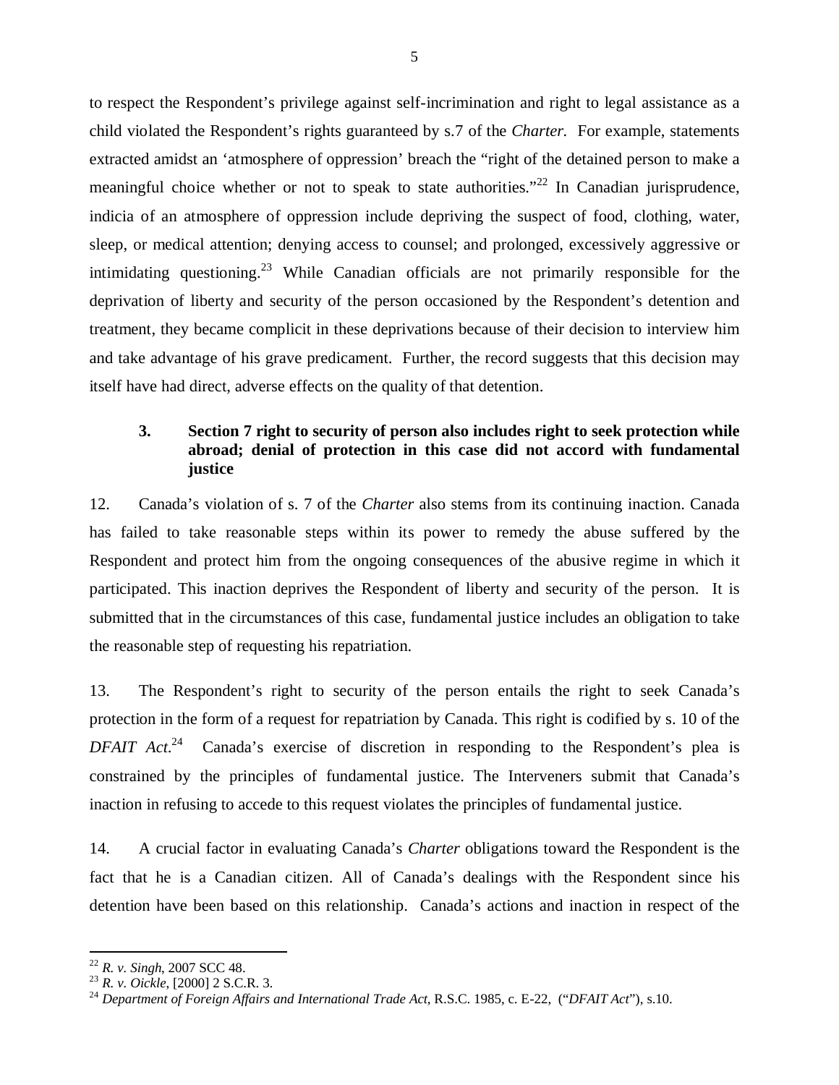to respect the Respondent's privilege against self-incrimination and right to legal assistance as a child violated the Respondent's rights guaranteed by s.7 of the *Charter.* For example, statements extracted amidst an 'atmosphere of oppression' breach the "right of the detained person to make a meaningful choice whether or not to speak to state authorities."<sup>22</sup> In Canadian jurisprudence, indicia of an atmosphere of oppression include depriving the suspect of food, clothing, water, sleep, or medical attention; denying access to counsel; and prolonged, excessively aggressive or intimidating questioning.<sup>23</sup> While Canadian officials are not primarily responsible for the deprivation of liberty and security of the person occasioned by the Respondent's detention and treatment, they became complicit in these deprivations because of their decision to interview him and take advantage of his grave predicament. Further, the record suggests that this decision may itself have had direct, adverse effects on the quality of that detention.

## **3. Section 7 right to security of person also includes right to seek protection while abroad; denial of protection in this case did not accord with fundamental justice**

12. Canada's violation of s. 7 of the *Charter* also stems from its continuing inaction. Canada has failed to take reasonable steps within its power to remedy the abuse suffered by the Respondent and protect him from the ongoing consequences of the abusive regime in which it participated. This inaction deprives the Respondent of liberty and security of the person. It is submitted that in the circumstances of this case, fundamental justice includes an obligation to take the reasonable step of requesting his repatriation.

13. The Respondent's right to security of the person entails the right to seek Canada's protection in the form of a request for repatriation by Canada. This right is codified by s. 10 of the *DFAIT Act*. <sup>24</sup> Canada's exercise of discretion in responding to the Respondent's plea is constrained by the principles of fundamental justice. The Interveners submit that Canada's inaction in refusing to accede to this request violates the principles of fundamental justice.

14. A crucial factor in evaluating Canada's *Charter* obligations toward the Respondent is the fact that he is a Canadian citizen. All of Canada's dealings with the Respondent since his detention have been based on this relationship. Canada's actions and inaction in respect of the

<sup>22</sup> *R. v. Singh*, 2007 SCC 48.

<sup>23</sup> *R. v. Oickle*, [2000] 2 S.C.R. 3.

<sup>24</sup> *Department of Foreign Affairs and International Trade Act*, R.S.C. 1985, c. E-22, ("*DFAIT Act*"), s.10.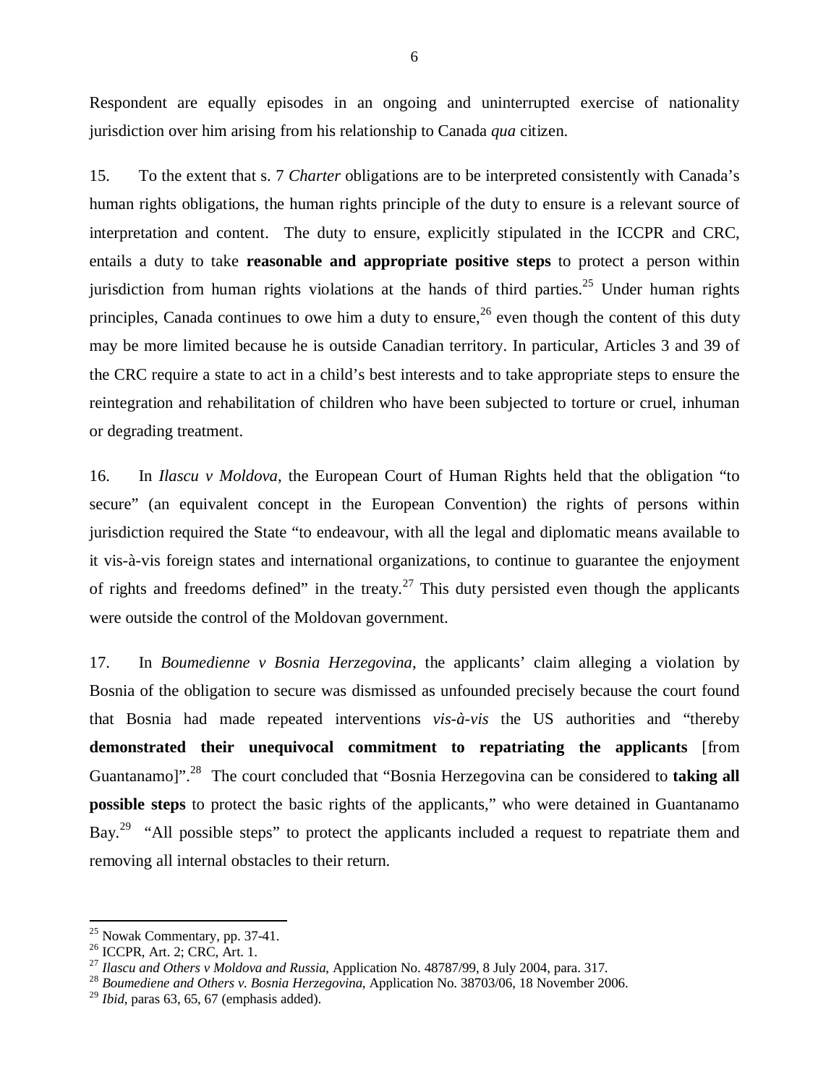Respondent are equally episodes in an ongoing and uninterrupted exercise of nationality jurisdiction over him arising from his relationship to Canada *qua* citizen.

15. To the extent that s. 7 *Charter* obligations are to be interpreted consistently with Canada's human rights obligations, the human rights principle of the duty to ensure is a relevant source of interpretation and content. The duty to ensure, explicitly stipulated in the ICCPR and CRC, entails a duty to take **reasonable and appropriate positive steps** to protect a person within jurisdiction from human rights violations at the hands of third parties.<sup>25</sup> Under human rights principles, Canada continues to owe him a duty to ensure,  $^{26}$  even though the content of this duty may be more limited because he is outside Canadian territory. In particular, Articles 3 and 39 of the CRC require a state to act in a child's best interests and to take appropriate steps to ensure the reintegration and rehabilitation of children who have been subjected to torture or cruel, inhuman or degrading treatment.

16. In *Ilascu v Moldova*, the European Court of Human Rights held that the obligation "to secure" (an equivalent concept in the European Convention) the rights of persons within jurisdiction required the State "to endeavour, with all the legal and diplomatic means available to it vis-à-vis foreign states and international organizations, to continue to guarantee the enjoyment of rights and freedoms defined" in the treaty.<sup>27</sup> This duty persisted even though the applicants were outside the control of the Moldovan government.

17. In *Boumedienne v Bosnia Herzegovina*, the applicants' claim alleging a violation by Bosnia of the obligation to secure was dismissed as unfounded precisely because the court found that Bosnia had made repeated interventions *vis-à-vis* the US authorities and "thereby **demonstrated their unequivocal commitment to repatriating the applicants** [from Guantanamo]".<sup>28</sup> The court concluded that "Bosnia Herzegovina can be considered to **taking all possible steps** to protect the basic rights of the applicants," who were detained in Guantanamo Bay.<sup>29</sup> "All possible steps" to protect the applicants included a request to repatriate them and removing all internal obstacles to their return.

<sup>25</sup> Nowak Commentary, pp. 37-41.

<sup>26</sup> ICCPR, Art. 2; CRC, Art. 1.

<sup>27</sup> *Ilascu and Others v Moldova and Russia*, Application No. 48787/99, 8 July 2004, para. 317.

<sup>28</sup> *Boumediene and Others v. Bosnia Herzegovina*, Application No. 38703/06, 18 November 2006.

 $^{29}$  *Ibid*, paras 63, 65, 67 (emphasis added).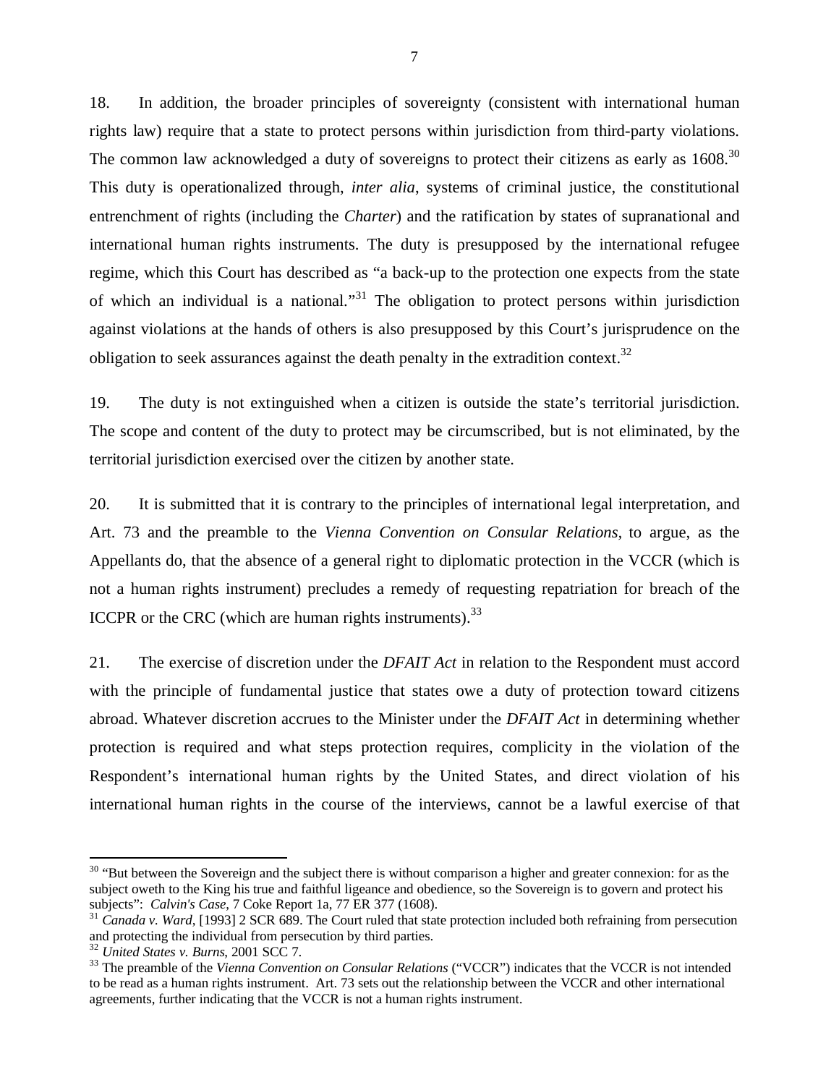18. In addition, the broader principles of sovereignty (consistent with international human rights law) require that a state to protect persons within jurisdiction from third-party violations. The common law acknowledged a duty of sovereigns to protect their citizens as early as  $1608$ .<sup>30</sup> This duty is operationalized through, *inter alia*, systems of criminal justice, the constitutional entrenchment of rights (including the *Charter*) and the ratification by states of supranational and international human rights instruments. The duty is presupposed by the international refugee regime, which this Court has described as "a back-up to the protection one expects from the state of which an individual is a national."<sup>31</sup> The obligation to protect persons within jurisdiction against violations at the hands of others is also presupposed by this Court's jurisprudence on the obligation to seek assurances against the death penalty in the extradition context.<sup>32</sup>

19. The duty is not extinguished when a citizen is outside the state's territorial jurisdiction. The scope and content of the duty to protect may be circumscribed, but is not eliminated, by the territorial jurisdiction exercised over the citizen by another state.

20. It is submitted that it is contrary to the principles of international legal interpretation, and Art. 73 and the preamble to the *Vienna Convention on Consular Relations,* to argue, as the Appellants do, that the absence of a general right to diplomatic protection in the VCCR (which is not a human rights instrument) precludes a remedy of requesting repatriation for breach of the ICCPR or the CRC (which are human rights instruments).<sup>33</sup>

21. The exercise of discretion under the *DFAIT Act* in relation to the Respondent must accord with the principle of fundamental justice that states owe a duty of protection toward citizens abroad. Whatever discretion accrues to the Minister under the *DFAIT Act* in determining whether protection is required and what steps protection requires, complicity in the violation of the Respondent's international human rights by the United States, and direct violation of his international human rights in the course of the interviews, cannot be a lawful exercise of that

<sup>&</sup>lt;sup>30</sup> "But between the Sovereign and the subject there is without comparison a higher and greater connexion: for as the subject oweth to the King his true and faithful ligeance and obedience, so the Sovereign is to govern and protect his subjects": *Calvin's Case*, 7 Coke Report 1a, 77 ER 377 (1608).

<sup>&</sup>lt;sup>31</sup> Canada v. Ward, [1993] 2 SCR 689. The Court ruled that state protection included both refraining from persecution and protecting the individual from persecution by third parties.

<sup>32</sup> *United States v. Burns*, 2001 SCC 7.

<sup>33</sup> The preamble of the *Vienna Convention on Consular Relations* ("VCCR") indicates that the VCCR is not intended to be read as a human rights instrument. Art. 73 sets out the relationship between the VCCR and other international agreements, further indicating that the VCCR is not a human rights instrument.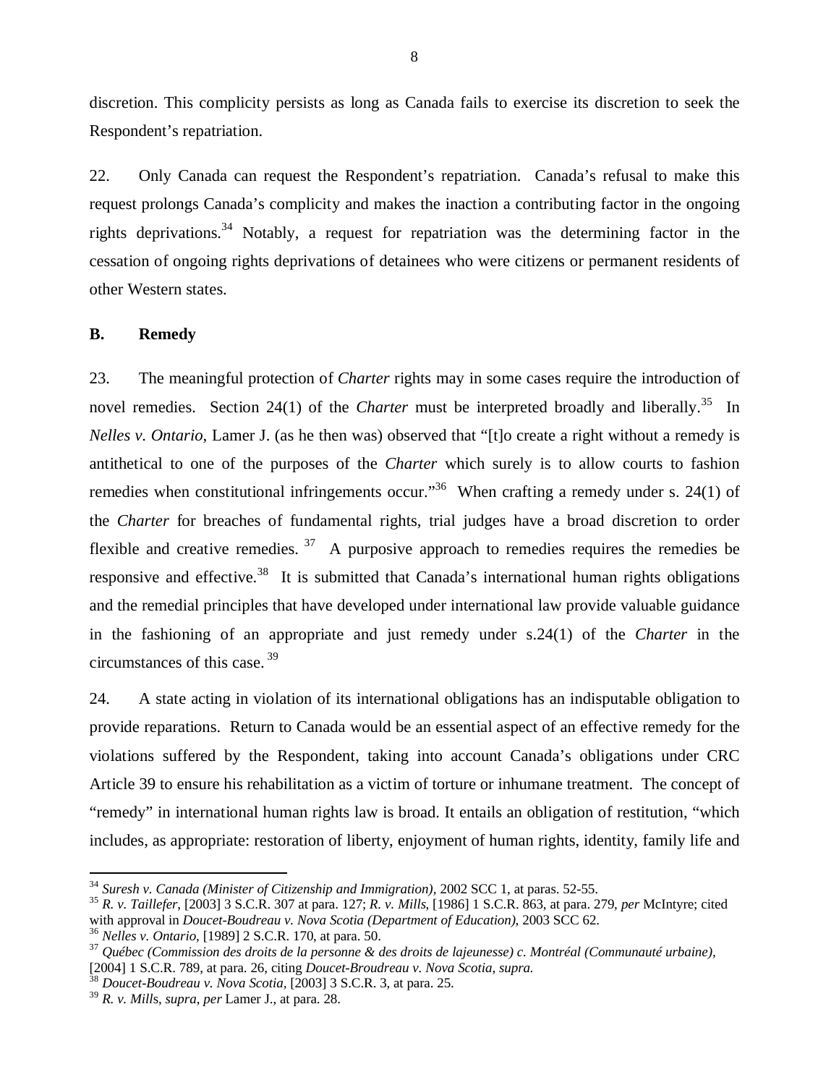discretion. This complicity persists as long as Canada fails to exercise its discretion to seek the Respondent's repatriation.

22. Only Canada can request the Respondent's repatriation. Canada's refusal to make this request prolongs Canada's complicity and makes the inaction a contributing factor in the ongoing rights deprivations.<sup>34</sup> Notably, a request for repatriation was the determining factor in the cessation of ongoing rights deprivations of detainees who were citizens or permanent residents of other Western states.

### **B. Remedy**

23. The meaningful protection of *Charter* rights may in some cases require the introduction of novel remedies. Section 24(1) of the *Charter* must be interpreted broadly and liberally.<sup>35</sup> In *Nelles v. Ontario,* Lamer J. (as he then was) observed that "[t]o create a right without a remedy is antithetical to one of the purposes of the *Charter* which surely is to allow courts to fashion remedies when constitutional infringements occur."<sup>36</sup> When crafting a remedy under s. 24(1) of the *Charter* for breaches of fundamental rights, trial judges have a broad discretion to order flexible and creative remedies.  $37$  A purposive approach to remedies requires the remedies be responsive and effective.<sup>38</sup> It is submitted that Canada's international human rights obligations and the remedial principles that have developed under international law provide valuable guidance in the fashioning of an appropriate and just remedy under s.24(1) of the *Charter* in the circumstances of this case. 39

24. A state acting in violation of its international obligations has an indisputable obligation to provide reparations. Return to Canada would be an essential aspect of an effective remedy for the violations suffered by the Respondent, taking into account Canada's obligations under CRC Article 39 to ensure his rehabilitation as a victim of torture or inhumane treatment. The concept of "remedy" in international human rights law is broad. It entails an obligation of restitution, "which includes, as appropriate: restoration of liberty, enjoyment of human rights, identity, family life and

<sup>34</sup> *Suresh v. Canada (Minister of Citizenship and Immigration),* 2002 SCC 1, at paras. 52-55.

<sup>35</sup> *R. v. Taillefer*, [2003] 3 S.C.R. 307 at para. 127; *R. v. Mills*, [1986] 1 S.C.R. 863, at para. 279, *per* McIntyre; cited with approval in *Doucet-Boudreau v. Nova Scotia (Department of Education)*, 2003 SCC 62.

<sup>36</sup> *Nelles v. Ontario,* [1989] 2 S.C.R. 170, at para. 50.

<sup>37</sup> *Québec (Commission des droits de la personne & des droits de lajeunesse) c. Montréal (Communauté urbaine),* [2004] 1 S.C.R. 789, at para. 26, citing *Doucet-Broudreau v. Nova Scotia, supra.*

<sup>38</sup> *Doucet-Boudreau v. Nova Scotia,* [2003] 3 S.C.R. 3, at para. 25.

<sup>39</sup> *R. v. Mill*s, *supra*, *per* Lamer J., at para. 28.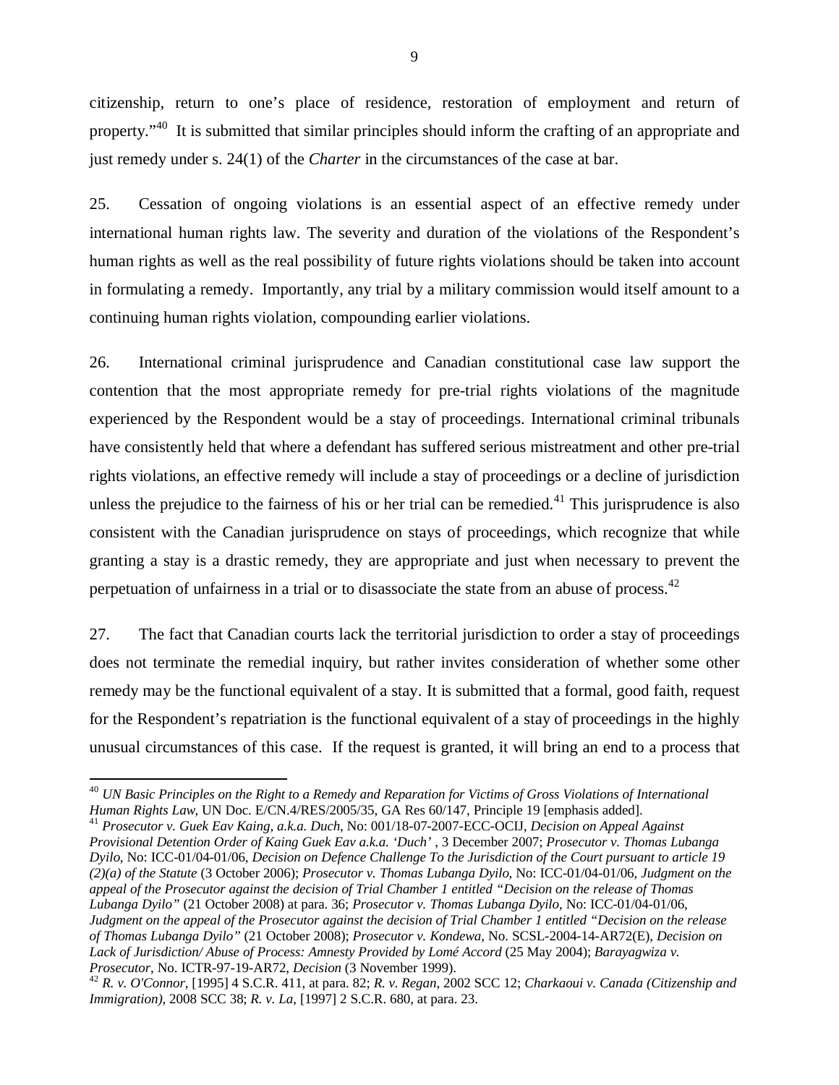citizenship, return to one's place of residence, restoration of employment and return of property."<sup>40</sup> It is submitted that similar principles should inform the crafting of an appropriate and just remedy under s. 24(1) of the *Charter* in the circumstances of the case at bar.

25. Cessation of ongoing violations is an essential aspect of an effective remedy under international human rights law. The severity and duration of the violations of the Respondent's human rights as well as the real possibility of future rights violations should be taken into account in formulating a remedy. Importantly, any trial by a military commission would itself amount to a continuing human rights violation, compounding earlier violations.

26. International criminal jurisprudence and Canadian constitutional case law support the contention that the most appropriate remedy for pre-trial rights violations of the magnitude experienced by the Respondent would be a stay of proceedings. International criminal tribunals have consistently held that where a defendant has suffered serious mistreatment and other pre-trial rights violations, an effective remedy will include a stay of proceedings or a decline of jurisdiction unless the prejudice to the fairness of his or her trial can be remedied. $41$  This jurisprudence is also consistent with the Canadian jurisprudence on stays of proceedings, which recognize that while granting a stay is a drastic remedy, they are appropriate and just when necessary to prevent the perpetuation of unfairness in a trial or to disassociate the state from an abuse of process.<sup>42</sup>

27. The fact that Canadian courts lack the territorial jurisdiction to order a stay of proceedings does not terminate the remedial inquiry, but rather invites consideration of whether some other remedy may be the functional equivalent of a stay. It is submitted that a formal, good faith, request for the Respondent's repatriation is the functional equivalent of a stay of proceedings in the highly unusual circumstances of this case. If the request is granted, it will bring an end to a process that

<sup>41</sup> *Prosecutor v. Guek Eav Kaing, a.k.a. Duch*, No: 001/18-07-2007-ECC-OCIJ, *Decision on Appeal Against Provisional Detention Order of Kaing Guek Eav a.k.a. 'Duch'* , 3 December 2007; *Prosecutor v. Thomas Lubanga Dyilo*, No: ICC-01/04-01/06, *Decision on Defence Challenge To the Jurisdiction of the Court pursuant to article 19 (2)(a) of the Statute* (3 October 2006); *Prosecutor v. Thomas Lubanga Dyilo*, No: ICC-01/04-01/06, *Judgment on the appeal of the Prosecutor against the decision of Trial Chamber 1 entitled "Decision on the release of Thomas Lubanga Dyilo"* (21 October 2008) at para. 36; *Prosecutor v. Thomas Lubanga Dyilo*, No: ICC-01/04-01/06, *Judgment on the appeal of the Prosecutor against the decision of Trial Chamber 1 entitled "Decision on the release of Thomas Lubanga Dyilo"* (21 October 2008); *Prosecutor v. Kondewa*, No. SCSL-2004-14-AR72(E), *Decision on Lack of Jurisdiction/ Abuse of Process: Amnesty Provided by Lomé Accord* (25 May 2004); *Barayagwiza v. Prosecutor*, No. ICTR-97-19-AR72, *Decision* (3 November 1999).

<sup>40</sup> *UN Basic Principles on the Right to a Remedy and Reparation for Victims of Gross Violations of International Human Rights Law*, UN Doc. E/CN.4/RES/2005/35, GA Res 60/147, Principle 19 [emphasis added].

<sup>42</sup> *R. v. O'Connor*, [1995] 4 S.C.R. 411, at para. 82; *R. v. Regan*, 2002 SCC 12; *Charkaoui v. Canada (Citizenship and Immigration)*, 2008 SCC 38; *R. v. La*, [1997] 2 S.C.R. 680, at para. 23.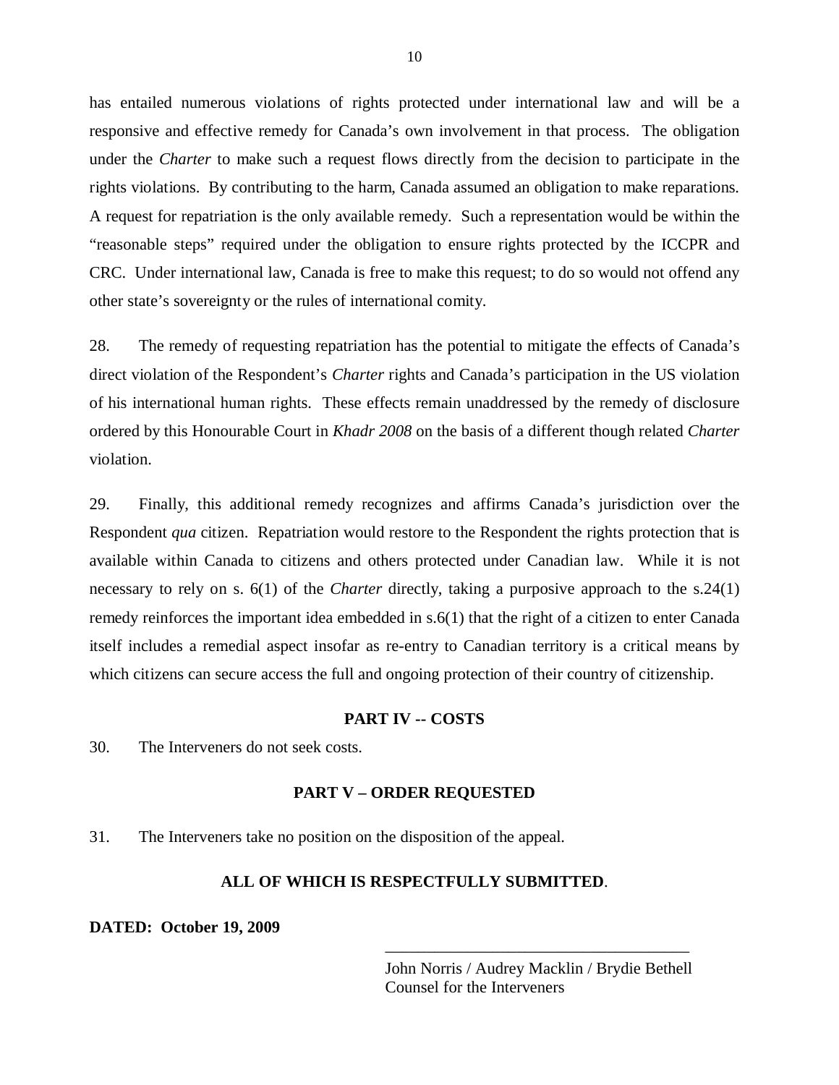has entailed numerous violations of rights protected under international law and will be a responsive and effective remedy for Canada's own involvement in that process. The obligation under the *Charter* to make such a request flows directly from the decision to participate in the rights violations. By contributing to the harm, Canada assumed an obligation to make reparations. A request for repatriation is the only available remedy. Such a representation would be within the "reasonable steps" required under the obligation to ensure rights protected by the ICCPR and CRC. Under international law, Canada is free to make this request; to do so would not offend any other state's sovereignty or the rules of international comity.

28. The remedy of requesting repatriation has the potential to mitigate the effects of Canada's direct violation of the Respondent's *Charter* rights and Canada's participation in the US violation of his international human rights. These effects remain unaddressed by the remedy of disclosure ordered by this Honourable Court in *Khadr 2008* on the basis of a different though related *Charter* violation.

29. Finally, this additional remedy recognizes and affirms Canada's jurisdiction over the Respondent *qua* citizen. Repatriation would restore to the Respondent the rights protection that is available within Canada to citizens and others protected under Canadian law. While it is not necessary to rely on s. 6(1) of the *Charter* directly, taking a purposive approach to the s.24(1) remedy reinforces the important idea embedded in s.6(1) that the right of a citizen to enter Canada itself includes a remedial aspect insofar as re-entry to Canadian territory is a critical means by which citizens can secure access the full and ongoing protection of their country of citizenship.

#### **PART IV -- COSTS**

30. The Interveners do not seek costs.

#### **PART V – ORDER REQUESTED**

31. The Interveners take no position on the disposition of the appeal.

## **ALL OF WHICH IS RESPECTFULLY SUBMITTED**.

**DATED: October 19, 2009**

John Norris / Audrey Macklin / Brydie Bethell Counsel for the Interveners

\_\_\_\_\_\_\_\_\_\_\_\_\_\_\_\_\_\_\_\_\_\_\_\_\_\_\_\_\_\_\_\_\_\_\_\_\_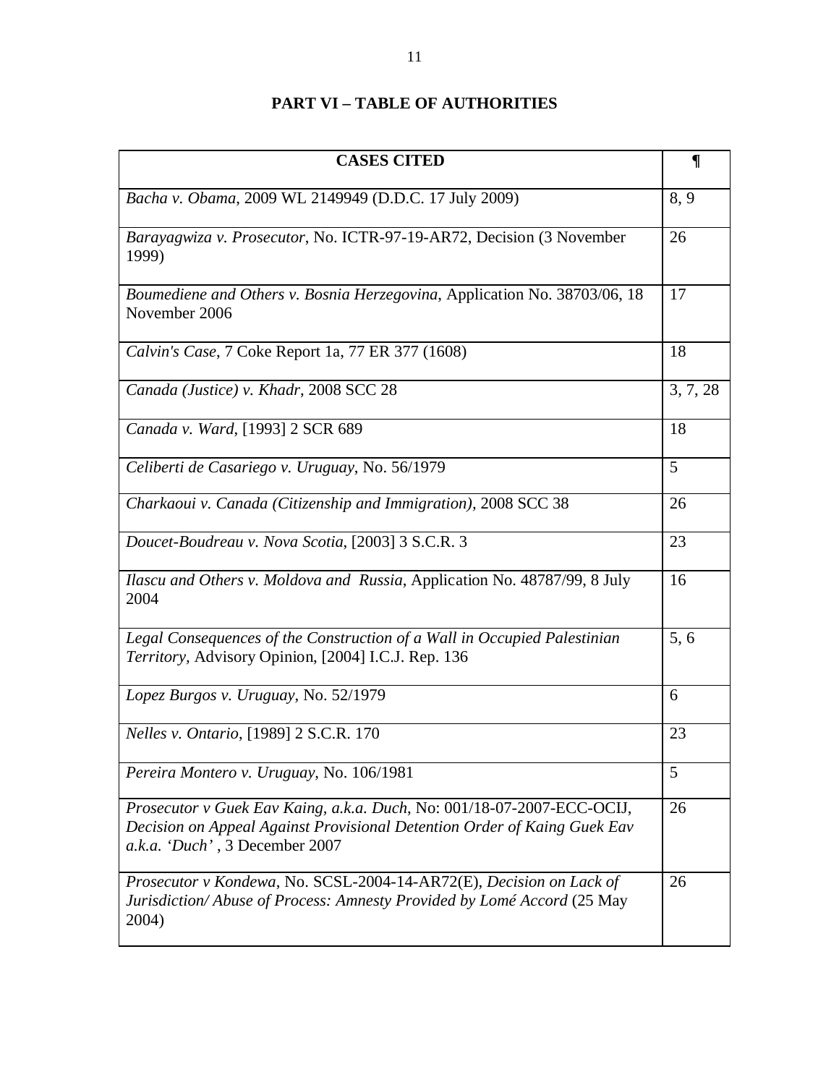# **PART VI – TABLE OF AUTHORITIES**

| <b>CASES CITED</b>                                                                                                                                                                   | $\P$     |
|--------------------------------------------------------------------------------------------------------------------------------------------------------------------------------------|----------|
| Bacha v. Obama, 2009 WL 2149949 (D.D.C. 17 July 2009)                                                                                                                                | 8, 9     |
| Barayagwiza v. Prosecutor, No. ICTR-97-19-AR72, Decision (3 November<br>1999)                                                                                                        | 26       |
| Boumediene and Others v. Bosnia Herzegovina, Application No. 38703/06, 18<br>November 2006                                                                                           | 17       |
| Calvin's Case, 7 Coke Report 1a, 77 ER 377 (1608)                                                                                                                                    | 18       |
| Canada (Justice) v. Khadr, 2008 SCC 28                                                                                                                                               | 3, 7, 28 |
| Canada v. Ward, [1993] 2 SCR 689                                                                                                                                                     | 18       |
| Celiberti de Casariego v. Uruguay, No. 56/1979                                                                                                                                       | 5        |
| Charkaoui v. Canada (Citizenship and Immigration), 2008 SCC 38                                                                                                                       | 26       |
| Doucet-Boudreau v. Nova Scotia, [2003] 3 S.C.R. 3                                                                                                                                    | 23       |
| Ilascu and Others v. Moldova and Russia, Application No. 48787/99, 8 July<br>2004                                                                                                    | 16       |
| Legal Consequences of the Construction of a Wall in Occupied Palestinian<br>Territory, Advisory Opinion, [2004] I.C.J. Rep. 136                                                      | 5,6      |
| Lopez Burgos v. Uruguay, No. 52/1979                                                                                                                                                 | 6        |
| <i>Nelles v. Ontario,</i> [1989] 2 S.C.R. 170                                                                                                                                        | 23       |
| Pereira Montero v. Uruguay, No. 106/1981                                                                                                                                             | 5        |
| Prosecutor v Guek Eav Kaing, a.k.a. Duch, No: 001/18-07-2007-ECC-OCIJ,<br>Decision on Appeal Against Provisional Detention Order of Kaing Guek Eav<br>a.k.a. 'Duch', 3 December 2007 | 26       |
| Prosecutor v Kondewa, No. SCSL-2004-14-AR72(E), Decision on Lack of<br>Jurisdiction/Abuse of Process: Amnesty Provided by Lomé Accord (25 May<br>2004)                               | 26       |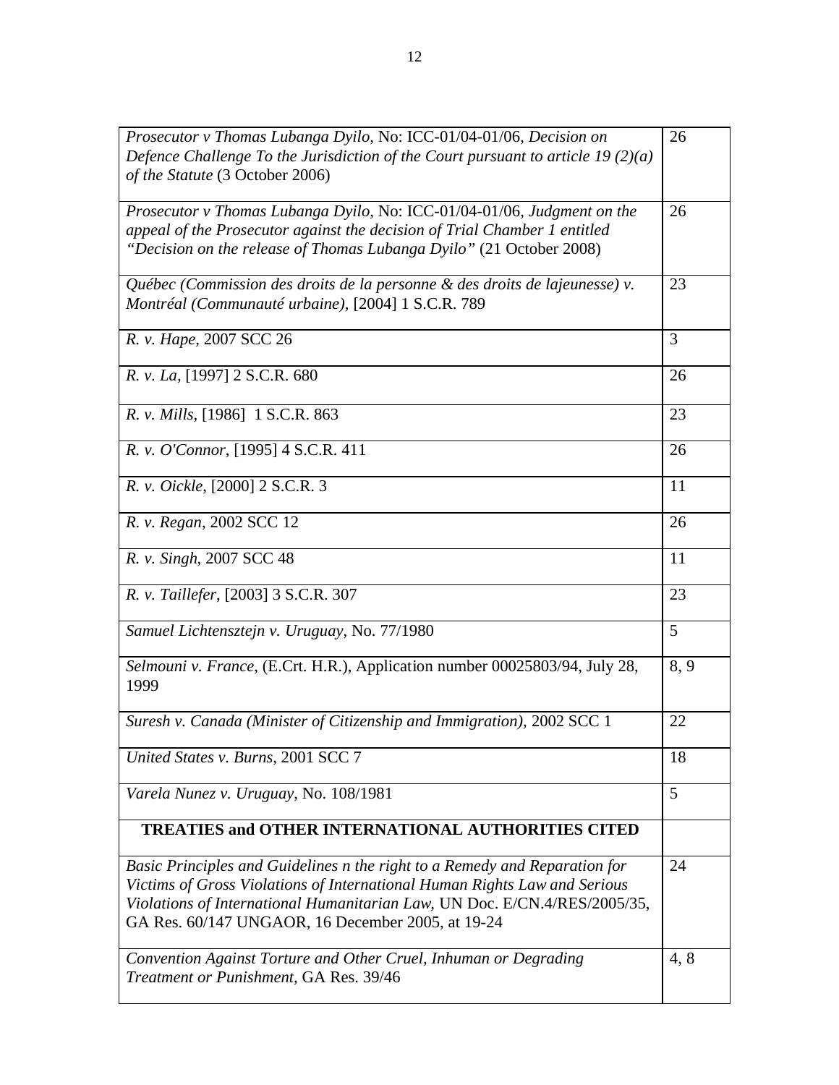| Prosecutor v Thomas Lubanga Dyilo, No: ICC-01/04-01/06, Decision on<br>Defence Challenge To the Jurisdiction of the Court pursuant to article $19(2)(a)$<br>of the Statute (3 October 2006)                                                                                               | 26   |
|-------------------------------------------------------------------------------------------------------------------------------------------------------------------------------------------------------------------------------------------------------------------------------------------|------|
| Prosecutor v Thomas Lubanga Dyilo, No: ICC-01/04-01/06, Judgment on the<br>appeal of the Prosecutor against the decision of Trial Chamber 1 entitled<br>"Decision on the release of Thomas Lubanga Dyilo" (21 October 2008)                                                               | 26   |
| Québec (Commission des droits de la personne & des droits de lajeunesse) v.<br>Montréal (Communauté urbaine), [2004] 1 S.C.R. 789                                                                                                                                                         | 23   |
| R. v. Hape, 2007 SCC 26                                                                                                                                                                                                                                                                   | 3    |
| R. v. La, [1997] 2 S.C.R. 680                                                                                                                                                                                                                                                             | 26   |
| R. v. Mills, [1986] 1 S.C.R. 863                                                                                                                                                                                                                                                          | 23   |
| R. v. O'Connor, [1995] 4 S.C.R. 411                                                                                                                                                                                                                                                       | 26   |
| R. v. Oickle, [2000] 2 S.C.R. 3                                                                                                                                                                                                                                                           | 11   |
| R. v. Regan, 2002 SCC 12                                                                                                                                                                                                                                                                  | 26   |
| R. v. Singh, 2007 SCC 48                                                                                                                                                                                                                                                                  | 11   |
| R. v. Taillefer, [2003] 3 S.C.R. 307                                                                                                                                                                                                                                                      | 23   |
| Samuel Lichtensztejn v. Uruguay, No. 77/1980                                                                                                                                                                                                                                              | 5    |
| Selmouni v. France, (E.Crt. H.R.), Application number 00025803/94, July 28,<br>1999                                                                                                                                                                                                       | 8, 9 |
| Suresh v. Canada (Minister of Citizenship and Immigration), 2002 SCC 1                                                                                                                                                                                                                    | 22   |
| United States v. Burns, 2001 SCC 7                                                                                                                                                                                                                                                        | 18   |
| Varela Nunez v. Uruguay, No. 108/1981                                                                                                                                                                                                                                                     | 5    |
| <b>TREATIES and OTHER INTERNATIONAL AUTHORITIES CITED</b>                                                                                                                                                                                                                                 |      |
| Basic Principles and Guidelines n the right to a Remedy and Reparation for<br>Victims of Gross Violations of International Human Rights Law and Serious<br>Violations of International Humanitarian Law, UN Doc. E/CN.4/RES/2005/35,<br>GA Res. 60/147 UNGAOR, 16 December 2005, at 19-24 | 24   |
| Convention Against Torture and Other Cruel, Inhuman or Degrading<br>Treatment or Punishment, GA Res. 39/46                                                                                                                                                                                | 4, 8 |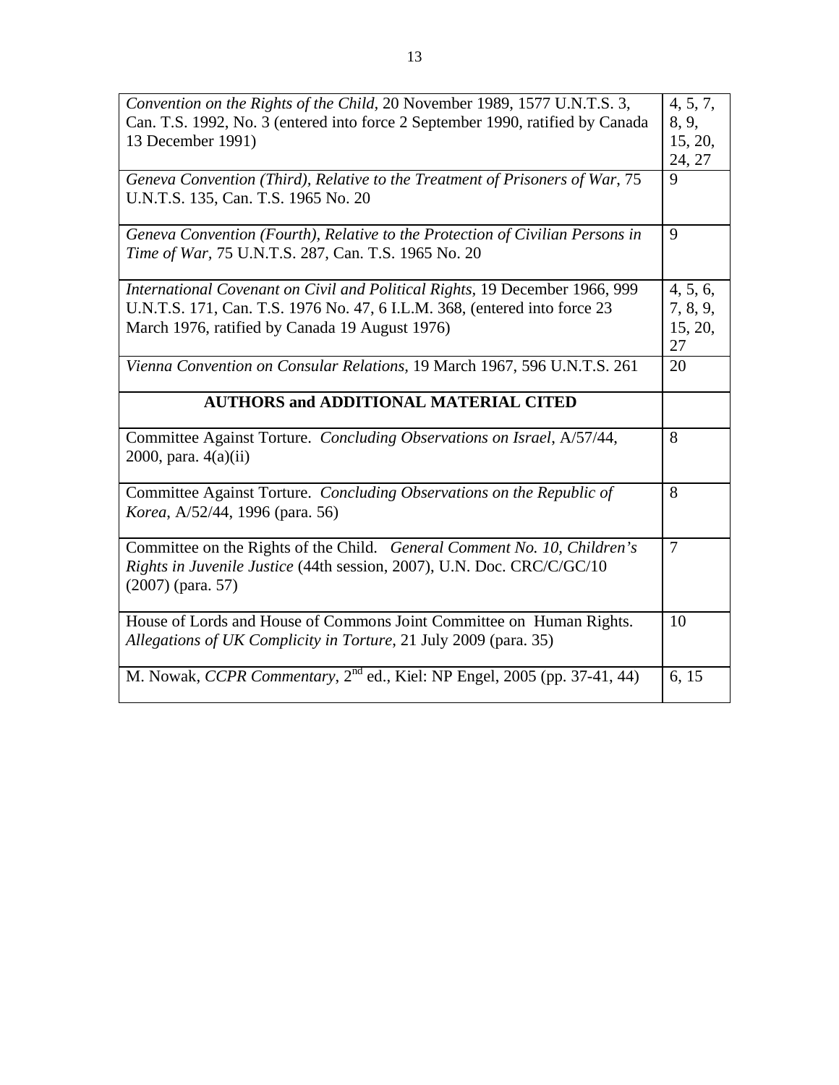| Convention on the Rights of the Child, 20 November 1989, 1577 U.N.T.S. 3,                                | 4, 5, 7, |
|----------------------------------------------------------------------------------------------------------|----------|
| Can. T.S. 1992, No. 3 (entered into force 2 September 1990, ratified by Canada                           | 8, 9,    |
| 13 December 1991)                                                                                        | 15, 20,  |
|                                                                                                          | 24, 27   |
| Geneva Convention (Third), Relative to the Treatment of Prisoners of War, 75                             | 9        |
| U.N.T.S. 135, Can. T.S. 1965 No. 20                                                                      |          |
| Geneva Convention (Fourth), Relative to the Protection of Civilian Persons in                            | 9        |
| Time of War, 75 U.N.T.S. 287, Can. T.S. 1965 No. 20                                                      |          |
| International Covenant on Civil and Political Rights, 19 December 1966, 999                              | 4, 5, 6, |
| U.N.T.S. 171, Can. T.S. 1976 No. 47, 6 I.L.M. 368, (entered into force 23                                | 7, 8, 9, |
| March 1976, ratified by Canada 19 August 1976)                                                           | 15, 20,  |
|                                                                                                          | 27       |
| Vienna Convention on Consular Relations, 19 March 1967, 596 U.N.T.S. 261                                 | 20       |
| <b>AUTHORS and ADDITIONAL MATERIAL CITED</b>                                                             |          |
| Committee Against Torture. Concluding Observations on Israel, A/57/44,<br>$2000$ , para. $4(a)(ii)$      | 8        |
| Committee Against Torture. Concluding Observations on the Republic of<br>Korea, A/52/44, 1996 (para. 56) | 8        |
| Committee on the Rights of the Child. General Comment No. 10, Children's                                 | $\tau$   |
| Rights in Juvenile Justice (44th session, 2007), U.N. Doc. CRC/C/GC/10<br>$(2007)$ (para. 57)            |          |
| House of Lords and House of Commons Joint Committee on Human Rights.                                     | 10       |
| Allegations of UK Complicity in Torture, 21 July 2009 (para. 35)                                         |          |
| M. Nowak, CCPR Commentary, 2 <sup>nd</sup> ed., Kiel: NP Engel, 2005 (pp. 37-41, 44)                     | 6, 15    |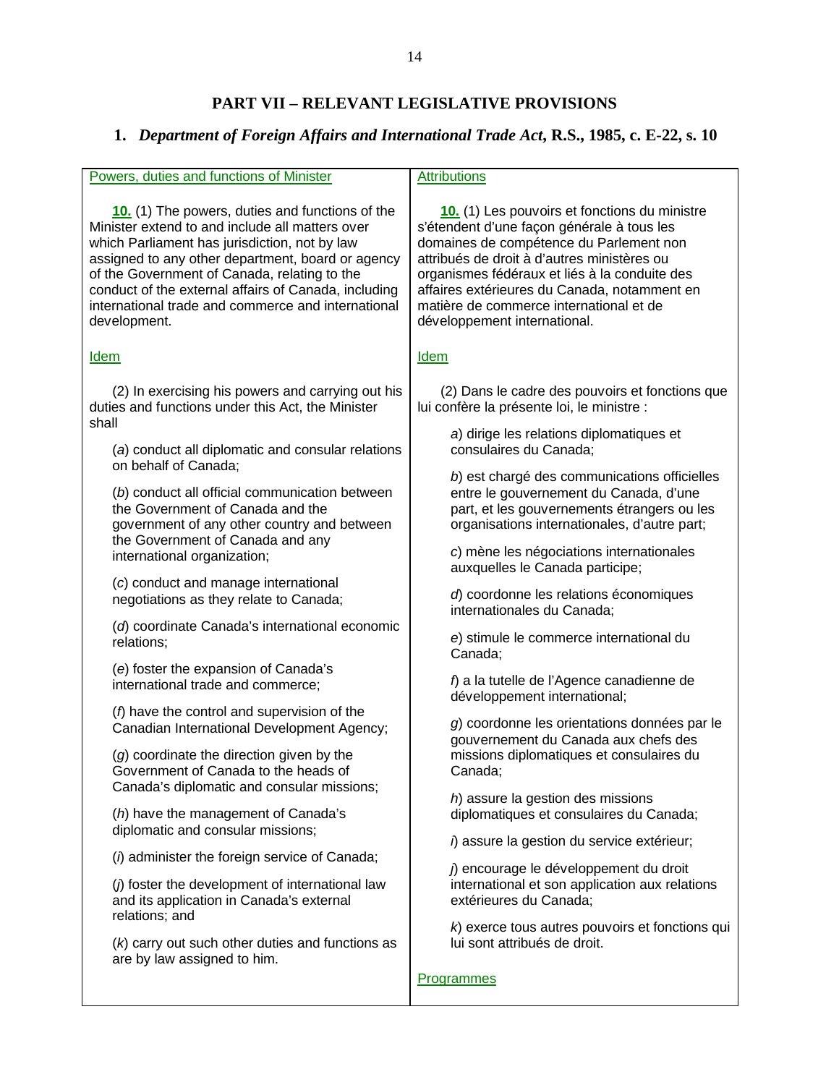# **PART VII – RELEVANT LEGISLATIVE PROVISIONS**

# **1.** *Department of Foreign Affairs and International Trade Act***, R.S., 1985, c. E-22, s. 10**

| Powers, duties and functions of Minister                                                                               | <b>Attributions</b>                                                          |
|------------------------------------------------------------------------------------------------------------------------|------------------------------------------------------------------------------|
| 10. (1) The powers, duties and functions of the                                                                        | 10. (1) Les pouvoirs et fonctions du ministre                                |
| Minister extend to and include all matters over                                                                        | s'étendent d'une façon générale à tous les                                   |
| which Parliament has jurisdiction, not by law                                                                          | domaines de compétence du Parlement non                                      |
| assigned to any other department, board or agency                                                                      | attribués de droit à d'autres ministères ou                                  |
| of the Government of Canada, relating to the                                                                           | organismes fédéraux et liés à la conduite des                                |
| conduct of the external affairs of Canada, including                                                                   | affaires extérieures du Canada, notamment en                                 |
| international trade and commerce and international                                                                     | matière de commerce international et de                                      |
| development.                                                                                                           | développement international.                                                 |
| <b>Idem</b>                                                                                                            | <b>Idem</b>                                                                  |
| (2) In exercising his powers and carrying out his                                                                      | (2) Dans le cadre des pouvoirs et fonctions que                              |
| duties and functions under this Act, the Minister                                                                      | lui confère la présente loi, le ministre :                                   |
| shall<br>(a) conduct all diplomatic and consular relations<br>on behalf of Canada:                                     | a) dirige les relations diplomatiques et<br>consulaires du Canada;           |
| (b) conduct all official communication between                                                                         | b) est chargé des communications officielles                                 |
| the Government of Canada and the                                                                                       | entre le gouvernement du Canada, d'une                                       |
| government of any other country and between                                                                            | part, et les gouvernements étrangers ou les                                  |
| the Government of Canada and any                                                                                       | organisations internationales, d'autre part;                                 |
| international organization;                                                                                            | c) mène les négociations internationales<br>auxquelles le Canada participe;  |
| (c) conduct and manage international                                                                                   | d) coordonne les relations économiques                                       |
| negotiations as they relate to Canada;                                                                                 | internationales du Canada;                                                   |
| (d) coordinate Canada's international economic                                                                         | e) stimule le commerce international du                                      |
| relations;                                                                                                             | Canada;                                                                      |
| (e) foster the expansion of Canada's                                                                                   | f) a la tutelle de l'Agence canadienne de                                    |
| international trade and commerce;                                                                                      | développement international;                                                 |
| $(f)$ have the control and supervision of the                                                                          | g) coordonne les orientations données par le                                 |
| Canadian International Development Agency;                                                                             | gouvernement du Canada aux chefs des                                         |
| (g) coordinate the direction given by the                                                                              | missions diplomatiques et consulaires du                                     |
| Government of Canada to the heads of                                                                                   | Canada;                                                                      |
| Canada's diplomatic and consular missions;<br>(h) have the management of Canada's<br>diplomatic and consular missions; | h) assure la gestion des missions<br>diplomatiques et consulaires du Canada; |
| (i) administer the foreign service of Canada;                                                                          | i) assure la gestion du service extérieur;                                   |
| (i) foster the development of international law                                                                        | ) encourage le développement du droit                                        |
| and its application in Canada's external                                                                               | international et son application aux relations                               |
| relations; and                                                                                                         | extérieures du Canada;                                                       |
| (k) carry out such other duties and functions as                                                                       | k) exerce tous autres pouvoirs et fonctions qui                              |
| are by law assigned to him.                                                                                            | lui sont attribués de droit.                                                 |
|                                                                                                                        | <b>Programmes</b>                                                            |